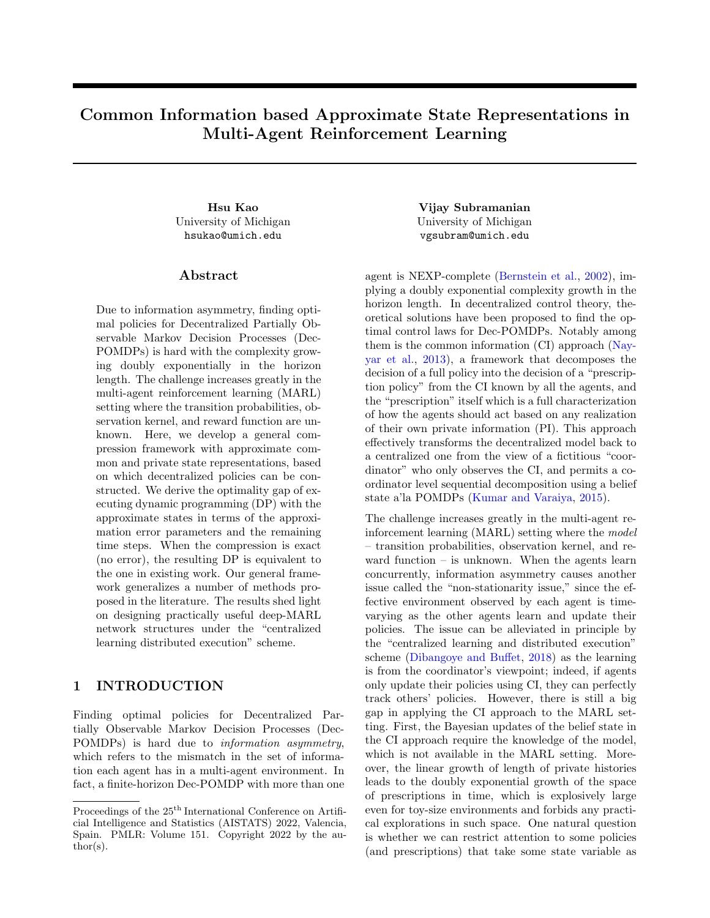# Common Information based Approximate State Representations in Multi-Agent Reinforcement Learning

University of Michigan hsukao@umich.edu

### ${\rm Abstract}$

Due to information asymmetry, finding optimal policies for Decentralized Partially Observable Markov Decision Processes (Dec-POMDPs) is hard with the complexity growing doubly exponentially in the horizon length. The challenge increases greatly in the multi-agent reinforcement learning (MARL) setting where the transition probabilities, observation kernel, and reward function are unknown. Here, we develop a general compression framework with approximate common and private state representations, based on which decentralized policies can be constructed. We derive the optimality gap of executing dynamic programming (DP) with the approximate states in terms of the approximation error parameters and the remaining time steps. When the compression is exact (no error), the resulting DP is equivalent to the one in existing work. Our general framework generalizes a number of methods proposed in the literature. The results shed light on designing practically useful deep-MARL network structures under the "centralized learning distributed execution" scheme.

# 1 INTRODUCTION

Finding optimal policies for Decentralized Partially Observable Markov Decision Processes (Dec-POMDPs) is hard due to information asymmetry, which refers to the mismatch in the set of information each agent has in a multi-agent environment. In fact, a finite-horizon Dec-POMDP with more than one

Hsu Kao Vijay Subramanian University of Michigan vgsubram@umich.edu

> agent is NEXP-complete [\(Bernstein et al.,](#page-9-0) [2002\)](#page-9-0), implying a doubly exponential complexity growth in the horizon length. In decentralized control theory, theoretical solutions have been proposed to find the optimal control laws for Dec-POMDPs. Notably among them is the common information (CI) approach [\(Nay](#page-9-1)[yar et al.,](#page-9-1) [2013\)](#page-9-1), a framework that decomposes the decision of a full policy into the decision of a "prescription policy" from the CI known by all the agents, and the "prescription" itself which is a full characterization of how the agents should act based on any realization of their own private information (PI). This approach effectively transforms the decentralized model back to a centralized one from the view of a fictitious "coordinator" who only observes the CI, and permits a coordinator level sequential decomposition using a belief state a'la POMDPs [\(Kumar and Varaiya,](#page-9-2) [2015\)](#page-9-2).

> The challenge increases greatly in the multi-agent reinforcement learning (MARL) setting where the model – transition probabilities, observation kernel, and reward function – is unknown. When the agents learn concurrently, information asymmetry causes another issue called the "non-stationarity issue," since the effective environment observed by each agent is timevarying as the other agents learn and update their policies. The issue can be alleviated in principle by the "centralized learning and distributed execution" scheme [\(Dibangoye and Buffet,](#page-9-3) [2018\)](#page-9-3) as the learning is from the coordinator's viewpoint; indeed, if agents only update their policies using CI, they can perfectly track others' policies. However, there is still a big gap in applying the CI approach to the MARL setting. First, the Bayesian updates of the belief state in the CI approach require the knowledge of the model, which is not available in the MARL setting. Moreover, the linear growth of length of private histories leads to the doubly exponential growth of the space of prescriptions in time, which is explosively large even for toy-size environments and forbids any practical explorations in such space. One natural question is whether we can restrict attention to some policies (and prescriptions) that take some state variable as

Proceedings of the  $25^{\text{th}}$  International Conference on Artificial Intelligence and Statistics (AISTATS) 2022, Valencia, Spain. PMLR: Volume 151. Copyright 2022 by the au- $\text{thor}(s)$ .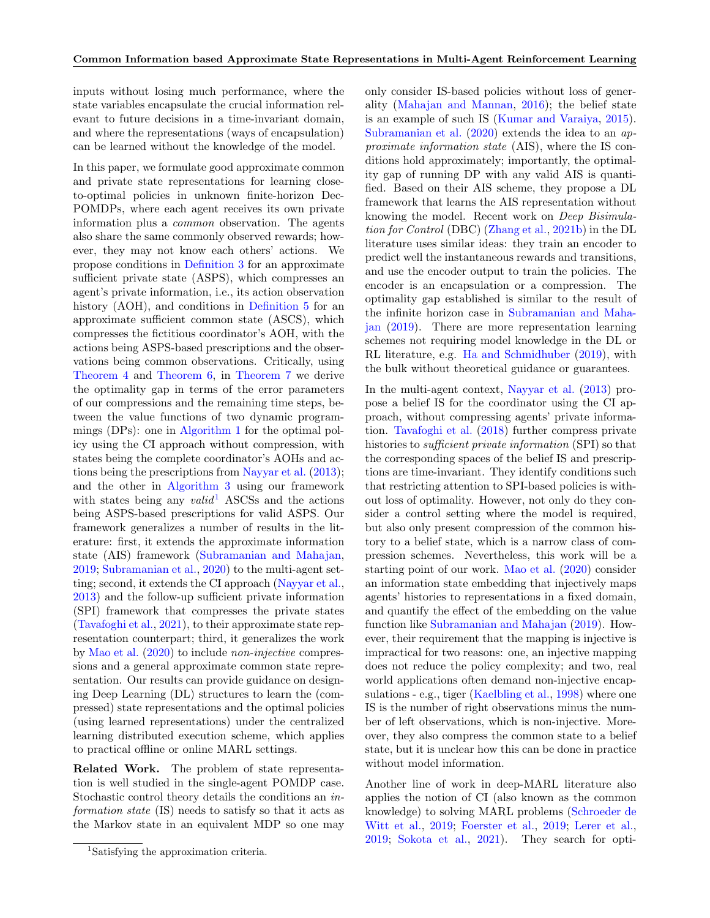inputs without losing much performance, where the state variables encapsulate the crucial information relevant to future decisions in a time-invariant domain, and where the representations (ways of encapsulation) can be learned without the knowledge of the model.

In this paper, we formulate good approximate common and private state representations for learning closeto-optimal policies in unknown finite-horizon Dec-POMDPs, where each agent receives its own private information plus a common observation. The agents also share the same commonly observed rewards; however, they may not know each others' actions. We propose conditions in [Definition 3](#page-4-0) for an approximate sufficient private state (ASPS), which compresses an agent's private information, i.e., its action observation history (AOH), and conditions in [Definition 5](#page-5-0) for an approximate sufficient common state (ASCS), which compresses the fictitious coordinator's AOH, with the actions being ASPS-based prescriptions and the observations being common observations. Critically, using [Theorem 4](#page-4-1) and [Theorem 6,](#page-5-1) in [Theorem 7](#page-5-2) we derive the optimality gap in terms of the error parameters of our compressions and the remaining time steps, between the value functions of two dynamic programmings (DPs): one in [Algorithm 1](#page-3-0) for the optimal policy using the CI approach without compression, with states being the complete coordinator's AOHs and actions being the prescriptions from [Nayyar et al.](#page-9-1) [\(2013\)](#page-9-1); and the other in [Algorithm 3](#page-5-3) using our framework with states being any  $valid<sup>1</sup>$  $valid<sup>1</sup>$  $valid<sup>1</sup>$  ASCSs and the actions being ASPS-based prescriptions for valid ASPS. Our framework generalizes a number of results in the literature: first, it extends the approximate information state (AIS) framework [\(Subramanian and Mahajan,](#page-9-4) [2019;](#page-9-4) [Subramanian et al.,](#page-9-5) [2020\)](#page-9-5) to the multi-agent setting; second, it extends the CI approach [\(Nayyar et al.,](#page-9-1) [2013\)](#page-9-1) and the follow-up sufficient private information (SPI) framework that compresses the private states [\(Tavafoghi et al.,](#page-9-6) [2021\)](#page-9-6), to their approximate state representation counterpart; third, it generalizes the work by [Mao et al.](#page-9-7) [\(2020\)](#page-9-7) to include non-injective compressions and a general approximate common state representation. Our results can provide guidance on designing Deep Learning (DL) structures to learn the (compressed) state representations and the optimal policies (using learned representations) under the centralized learning distributed execution scheme, which applies to practical offline or online MARL settings.

Related Work. The problem of state representation is well studied in the single-agent POMDP case. Stochastic control theory details the conditions an information state (IS) needs to satisfy so that it acts as the Markov state in an equivalent MDP so one may only consider IS-based policies without loss of generality [\(Mahajan and Mannan,](#page-9-8) [2016\)](#page-9-8); the belief state is an example of such IS [\(Kumar and Varaiya,](#page-9-2) [2015\)](#page-9-2). [Subramanian et al.](#page-9-5) [\(2020\)](#page-9-5) extends the idea to an approximate information state (AIS), where the IS conditions hold approximately; importantly, the optimality gap of running DP with any valid AIS is quantified. Based on their AIS scheme, they propose a DL framework that learns the AIS representation without knowing the model. Recent work on Deep Bisimulation for Control (DBC) [\(Zhang et al.,](#page-9-9) [2021b\)](#page-9-9) in the DL literature uses similar ideas: they train an encoder to predict well the instantaneous rewards and transitions, and use the encoder output to train the policies. The encoder is an encapsulation or a compression. The optimality gap established is similar to the result of the infinite horizon case in [Subramanian and Maha](#page-9-4)[jan](#page-9-4) [\(2019\)](#page-9-4). There are more representation learning schemes not requiring model knowledge in the DL or RL literature, e.g. [Ha and Schmidhuber](#page-9-10) [\(2019\)](#page-9-10), with the bulk without theoretical guidance or guarantees.

In the multi-agent context, [Nayyar et al.](#page-9-1) [\(2013\)](#page-9-1) propose a belief IS for the coordinator using the CI approach, without compressing agents' private information. [Tavafoghi et al.](#page-9-11) [\(2018\)](#page-9-11) further compress private histories to sufficient private information (SPI) so that the corresponding spaces of the belief IS and prescriptions are time-invariant. They identify conditions such that restricting attention to SPI-based policies is without loss of optimality. However, not only do they consider a control setting where the model is required, but also only present compression of the common history to a belief state, which is a narrow class of compression schemes. Nevertheless, this work will be a starting point of our work. [Mao et al.](#page-9-7) [\(2020\)](#page-9-7) consider an information state embedding that injectively maps agents' histories to representations in a fixed domain, and quantify the effect of the embedding on the value function like [Subramanian and Mahajan](#page-9-4) [\(2019\)](#page-9-4). However, their requirement that the mapping is injective is impractical for two reasons: one, an injective mapping does not reduce the policy complexity; and two, real world applications often demand non-injective encapsulations - e.g., tiger [\(Kaelbling et al.,](#page-9-12) [1998\)](#page-9-12) where one IS is the number of right observations minus the number of left observations, which is non-injective. Moreover, they also compress the common state to a belief state, but it is unclear how this can be done in practice without model information.

Another line of work in deep-MARL literature also applies the notion of CI (also known as the common knowledge) to solving MARL problems [\(Schroeder de](#page-9-13) [Witt et al.,](#page-9-13) [2019;](#page-9-13) [Foerster et al.,](#page-9-14) [2019;](#page-9-14) [Lerer et al.,](#page-9-15) [2019;](#page-9-15) [Sokota et al.,](#page-9-16) [2021\)](#page-9-16). They search for opti-

<span id="page-1-0"></span><sup>1</sup>Satisfying the approximation criteria.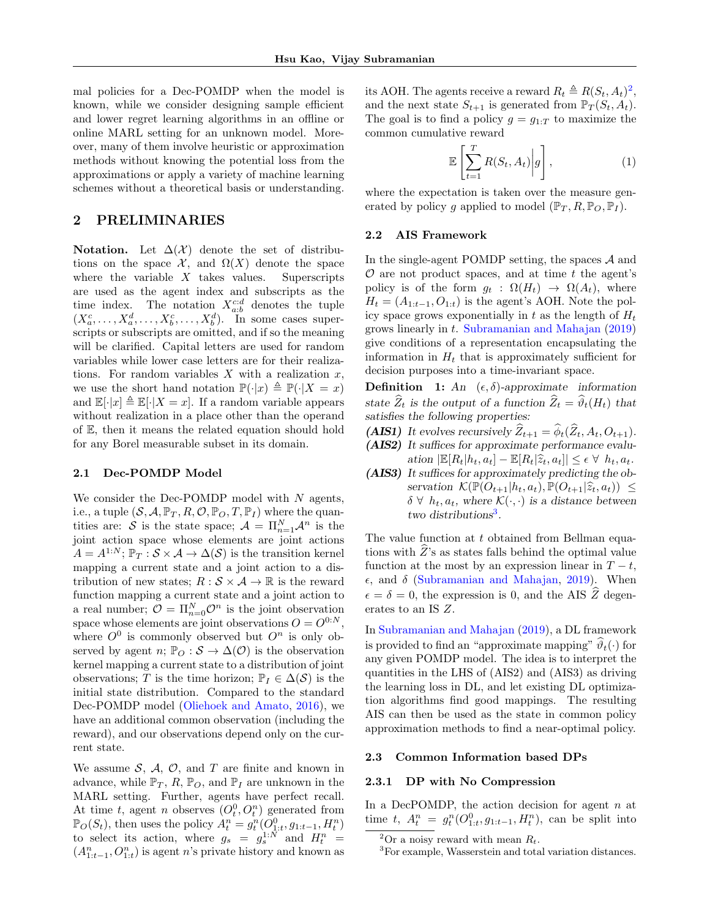mal policies for a Dec-POMDP when the model is known, while we consider designing sample efficient and lower regret learning algorithms in an offline or online MARL setting for an unknown model. Moreover, many of them involve heuristic or approximation methods without knowing the potential loss from the approximations or apply a variety of machine learning schemes without a theoretical basis or understanding.

# 2 PRELIMINARIES

Notation. Let  $\Delta(\mathcal{X})$  denote the set of distributions on the space  $\mathcal{X}$ , and  $\Omega(X)$  denote the space where the variable  $X$  takes values. Superscripts are used as the agent index and subscripts as the time index. The notation  $X_{a:b}^{c:d}$  denotes the tuple  $(X_a^c, \ldots, X_a^d, \ldots, X_b^c, \ldots, X_b^d)$ . In some cases superscripts or subscripts are omitted, and if so the meaning will be clarified. Capital letters are used for random variables while lower case letters are for their realizations. For random variables  $X$  with a realization  $x$ , we use the short hand notation  $\mathbb{P}(\cdot|x) \triangleq \mathbb{P}(\cdot|X = x)$ and  $\mathbb{E}[\cdot|x] \triangleq \mathbb{E}[\cdot|X=x]$ . If a random variable appears without realization in a place other than the operand of E, then it means the related equation should hold for any Borel measurable subset in its domain.

#### 2.1 Dec-POMDP Model

We consider the Dec-POMDP model with  $N$  agents, i.e., a tuple  $(S, \mathcal{A}, \mathbb{P}_T, R, \mathcal{O}, \mathbb{P}_Q, T, \mathbb{P}_I)$  where the quantities are: S is the state space;  $\mathcal{A} = \prod_{n=1}^{N} \mathcal{A}^n$  is the joint action space whose elements are joint actions  $A = A^{1:N}$ ;  $\mathbb{P}_T : \mathcal{S} \times \mathcal{A} \to \Delta(\mathcal{S})$  is the transition kernel mapping a current state and a joint action to a distribution of new states;  $R : \mathcal{S} \times \mathcal{A} \rightarrow \mathbb{R}$  is the reward function mapping a current state and a joint action to a real number;  $\mathcal{O} = \Pi_{n=0}^N \mathcal{O}^n$  is the joint observation space whose elements are joint observations  $O = O^{0:N}$ , where  $O^0$  is commonly observed but  $O^n$  is only observed by agent n;  $\mathbb{P}_O : \mathcal{S} \to \Delta(\mathcal{O})$  is the observation kernel mapping a current state to a distribution of joint observations; T is the time horizon;  $\mathbb{P}_I \in \Delta(\mathcal{S})$  is the initial state distribution. Compared to the standard Dec-POMDP model [\(Oliehoek and Amato,](#page-9-17) [2016\)](#page-9-17), we have an additional common observation (including the reward), and our observations depend only on the current state.

We assume  $S$ ,  $A$ ,  $O$ , and  $T$  are finite and known in advance, while  $\mathbb{P}_T$ , R,  $\mathbb{P}_O$ , and  $\mathbb{P}_I$  are unknown in the MARL setting. Further, agents have perfect recall. At time t, agent n observes  $(O_t^0, O_t^n)$  generated from  $\mathbb{P}_O(S_t)$ , then uses the policy  $A_t^n = g_t^n(O_{1:t}^0, g_{1:t-1}, H_t^n)$ to select its action, where  $g_s = g_s^{1:N}$  and  $H_t^n =$  $(A_{1:t-1}^n, O_{1:t}^n)$  is agent n's private history and known as

its AOH. The agents receive a reward  $R_t \triangleq R(S_t, A_t)^2$  $R_t \triangleq R(S_t, A_t)^2$ , and the next state  $S_{t+1}$  is generated from  $\mathbb{P}_T(S_t, A_t)$ . The goal is to find a policy  $g = g_{1:T}$  to maximize the common cumulative reward

$$
\mathbb{E}\left[\sum_{t=1}^{T} R(S_t, A_t) \bigg| g\right],\tag{1}
$$

where the expectation is taken over the measure generated by policy g applied to model  $(\mathbb{P}_T, R, \mathbb{P}_O, \mathbb{P}_I)$ .

### <span id="page-2-2"></span>2.2 AIS Framework

In the single-agent POMDP setting, the spaces A and  $\mathcal O$  are not product spaces, and at time t the agent's policy is of the form  $g_t : \Omega(H_t) \to \Omega(A_t)$ , where  $H_t = (A_{1:t-1}, O_{1:t})$  is the agent's AOH. Note the policy space grows exponentially in t as the length of  $H_t$ grows linearly in t. [Subramanian and Mahajan](#page-9-4) [\(2019\)](#page-9-4) give conditions of a representation encapsulating the information in  $H_t$  that is approximately sufficient for decision purposes into a time-invariant space.

<span id="page-2-3"></span>**Definition 1:** An  $(\epsilon, \delta)$ -approximate information state  $\widehat{Z}_t$  is the output of a function  $\widehat{Z}_t = \widehat{\vartheta}_t(H_t)$  that satisfies the following properties:

- **(AIS1)** It evolves recursively  $\widehat{Z}_{t+1} = \widehat{\phi}_t(\widehat{Z}_t, A_t, O_{t+1}).$
- **(AIS2)** It suffices for approximate performance evaluation  $|\mathbb{E}[R_t|h_t, a_t] - \mathbb{E}[R_t|\hat{z}_t, a_t]| \leq \epsilon \ \forall \ h_t, a_t.$
- **(AIS3)** It suffices for approximately predicting the observation  $\mathcal{K}(\mathbb{P}(O_{t+1}|h_t, a_t), \mathbb{P}(O_{t+1}|\hat{z}_t, a_t)) \leq$  $\delta \,\forall\, h_t, a_t$ , where  $\mathcal{K}(\cdot, \cdot)$  is a distance between two distributions<sup>[3](#page-2-1)</sup>.

The value function at t obtained from Bellman equations with  $Z$ 's as states falls behind the optimal value function at the most by an expression linear in  $T - t$ ,  $\epsilon$ , and  $\delta$  [\(Subramanian and Mahajan,](#page-9-4) [2019\)](#page-9-4). When  $\epsilon = \delta = 0$ , the expression is 0, and the AIS  $\widehat{Z}$  degenerates to an IS Z.

In [Subramanian and Mahajan](#page-9-4) [\(2019\)](#page-9-4), a DL framework is provided to find an "approximate mapping"  $\widehat{\vartheta}_t(\cdot)$  for any given POMDP model. The idea is to interpret the quantities in the LHS of (AIS2) and (AIS3) as driving the learning loss in DL, and let existing DL optimization algorithms find good mappings. The resulting AIS can then be used as the state in common policy approximation methods to find a near-optimal policy.

### 2.3 Common Information based DPs

#### 2.3.1 DP with No Compression

In a DecPOMDP, the action decision for agent  $n$  at time t,  $A_t^n = g_t^n(O_{1:t}^0, g_{1:t-1}, H_t^n)$ , can be split into

<span id="page-2-0"></span><sup>&</sup>lt;sup>2</sup>Or a noisy reward with mean  $R_t$ .

<span id="page-2-1"></span><sup>&</sup>lt;sup>3</sup>For example, Wasserstein and total variation distances.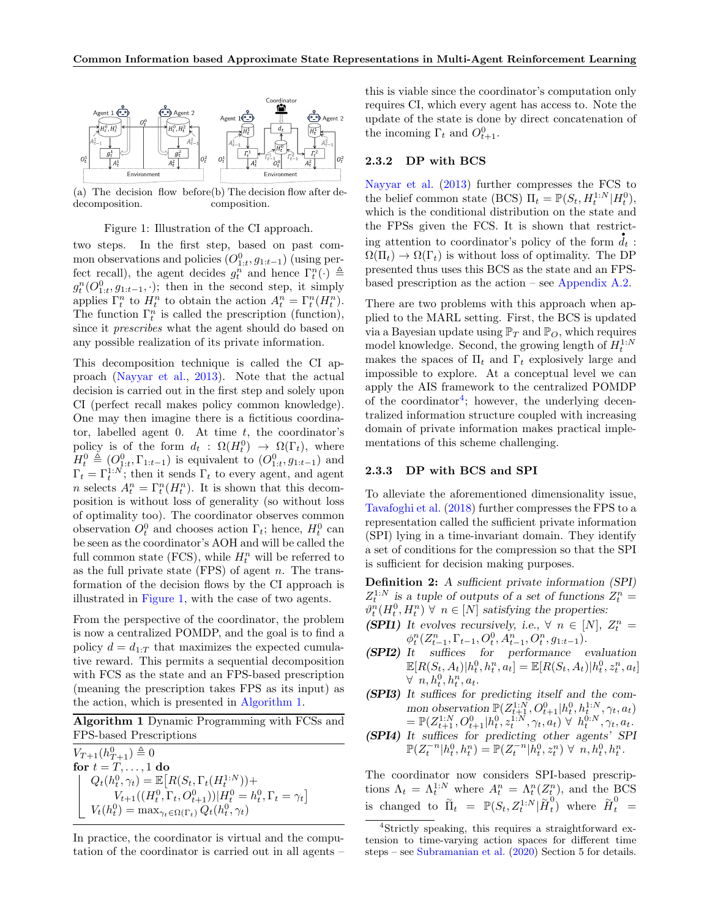<span id="page-3-1"></span>

(a) The decision flow before (b) The decision flow after dedecomposition. composition.

#### Figure 1: Illustration of the CI approach.

two steps. In the first step, based on past common observations and policies  $(O_{1:t}^0, g_{1:t-1})$  (using perfect recall), the agent decides  $g_t^n$  and hence  $\Gamma_t^n(\cdot) \triangleq$  $g_t^n(O_{1:t}^0, g_{1:t-1}, \cdot);$  then in the second step, it simply applies  $\Gamma_t^n$  to  $H_t^n$  to obtain the action  $A_t^n = \Gamma_t^n(H_t^n)$ . The function  $\Gamma_t^n$  is called the prescription (function), since it prescribes what the agent should do based on any possible realization of its private information.

This decomposition technique is called the CI approach [\(Nayyar et al.,](#page-9-1) [2013\)](#page-9-1). Note that the actual decision is carried out in the first step and solely upon CI (perfect recall makes policy common knowledge). One may then imagine there is a fictitious coordinator, labelled agent 0. At time  $t$ , the coordinator's policy is of the form  $d_t$ :  $\Omega(H_t^0) \to \Omega(\Gamma_t)$ , where  $H_t^0 \triangleq (O_{1:t}^0, \Gamma_{1:t-1})$  is equivalent to  $(O_{1:t}^0, g_{1:t-1})$  and  $\Gamma_t = \Gamma_t^{1:N}$ ; then it sends  $\Gamma_t$  to every agent, and agent *n* selects  $A_t^n = \Gamma_t^n(H_t^n)$ . It is shown that this decomposition is without loss of generality (so without loss of optimality too). The coordinator observes common observation  $O_t^0$  and chooses action  $\Gamma_t$ ; hence,  $H_t^0$  can be seen as the coordinator's AOH and will be called the full common state (FCS), while  $H_t^n$  will be referred to as the full private state  $(FPS)$  of agent n. The transformation of the decision flows by the CI approach is illustrated in [Figure 1,](#page-3-1) with the case of two agents.

From the perspective of the coordinator, the problem is now a centralized POMDP, and the goal is to find a policy  $d = d_{1:T}$  that maximizes the expected cumulative reward. This permits a sequential decomposition with FCS as the state and an FPS-based prescription (meaning the prescription takes FPS as its input) as the action, which is presented in [Algorithm 1.](#page-3-0)

<span id="page-3-0"></span>Algorithm 1 Dynamic Programming with FCSs and FPS-based Prescriptions

 $V_{T+1}(h_{T+1}^0) \triangleq 0$ for  $t = T, \ldots, 1$  do  $Q_t(h_t^0, \gamma_t) = \mathbb{E}\big[R(S_t, \Gamma_t(H_t^{1:N})) +$  $V_{t+1}((H_t^0, \Gamma_t, O_{t+1}^0))|H_t^0 = h_t^0, \Gamma_t = \gamma_t]$  $V_t(h_t^0) = \max_{\gamma_t \in \Omega(\Gamma_t)} Q_t(h_t^0, \gamma_t)$ 

In practice, the coordinator is virtual and the computation of the coordinator is carried out in all agents –

this is viable since the coordinator's computation only requires CI, which every agent has access to. Note the update of the state is done by direct concatenation of the incoming  $\Gamma_t$  and  $O_{t+1}^0$ .

### 2.3.2 DP with BCS

[Nayyar et al.](#page-9-1) [\(2013\)](#page-9-1) further compresses the FCS to the belief common state (BCS)  $\Pi_t = \mathbb{P}(S_t, H_t^{1:N}|H_t^0),$ which is the conditional distribution on the state and the FPSs given the FCS. It is shown that restrict-. ing attention to coordinator's policy of the form  $d_t$ :  $\Omega(\Pi_t) \to \Omega(\Gamma_t)$  is without loss of optimality. The DP presented thus uses this BCS as the state and an FPSbased prescription as the action – see [Appendix A.2.](#page-10-0)

There are two problems with this approach when applied to the MARL setting. First, the BCS is updated via a Bayesian update using  $\mathbb{P}_T$  and  $\mathbb{P}_O$ , which requires model knowledge. Second, the growing length of  $H_t^{1:N}$ makes the spaces of  $\Pi_t$  and  $\Gamma_t$  explosively large and impossible to explore. At a conceptual level we can apply the AIS framework to the centralized POMDP of the coordinator<sup>[4](#page-3-2)</sup>; however, the underlying decentralized information structure coupled with increasing domain of private information makes practical implementations of this scheme challenging.

### 2.3.3 DP with BCS and SPI

To alleviate the aforementioned dimensionality issue, [Tavafoghi et al.](#page-9-11) [\(2018\)](#page-9-11) further compresses the FPS to a representation called the sufficient private information (SPI) lying in a time-invariant domain. They identify a set of conditions for the compression so that the SPI is sufficient for decision making purposes.

<span id="page-3-3"></span>**Definition 2:** A sufficient private information (SPI)  $Z_t^{1:N}$  is a tuple of outputs of a set of functions  $Z_t^n =$  $\vartheta_t^n(H_t^0, H_t^n) \ \forall \ n \in [N]$  satisfying the properties:

- **(SPI1)** It evolves recursively, i.e.,  $\forall n \in [N], Z_t^n =$  $\phi_t^n(Z_{t-1}^n, \Gamma_{t-1}, O_t^0, A_{t-1}^n, O_t^n, g_{1:t-1}).$
- **(SPI2)** It suffices for performance evaluation  $\mathbb{E}[R(S_t, A_t)| h_t^0, h_t^n, a_t] = \mathbb{E}[R(S_t, A_t)| h_t^0, z_t^n, a_t]$  $\forall n, h_t^0, h_t^n, a_t.$
- **(SPI3)** It suffices for predicting itself and the common observation  $\mathbb{P}(Z_{t+1}^{1:N}, O_{t+1}^0 | h_t^0, h_t^{1:N}, \gamma_t, a_t)$  $=\mathbb{P}(Z_{t+1}^{1:N}, O_{t+1}^0|h_t^0, z_t^{1:N}, \gamma_t, a_t) \; \forall \; h_t^{0:N}, \gamma_t, a_t.$
- **(SPI4)** It suffices for predicting other agents' SPI  $\mathbb{P}(Z_t^{-n}|h_t^0,h_t^n) = \mathbb{P}(Z_t^{-n}|h_t^0,z_t^n) \ \forall \ n,h_t^0,h_t^n.$

The coordinator now considers SPI-based prescriptions  $\Lambda_t = \Lambda_t^{1:N}$  where  $A_t^n = \Lambda_t^n(Z_t^n)$ , and the BCS is changed to  $\tilde{\Pi}_t = \mathbb{P}(S_t, Z_t^{1:N} | \tilde{H}_t^0)$  $\stackrel{0}{t}$ ) where  $\stackrel{\sim}{H}^0_t =$ 

<span id="page-3-2"></span><sup>4</sup>Strictly speaking, this requires a straightforward extension to time-varying action spaces for different time steps – see [Subramanian et al.](#page-9-5) [\(2020\)](#page-9-5) Section 5 for details.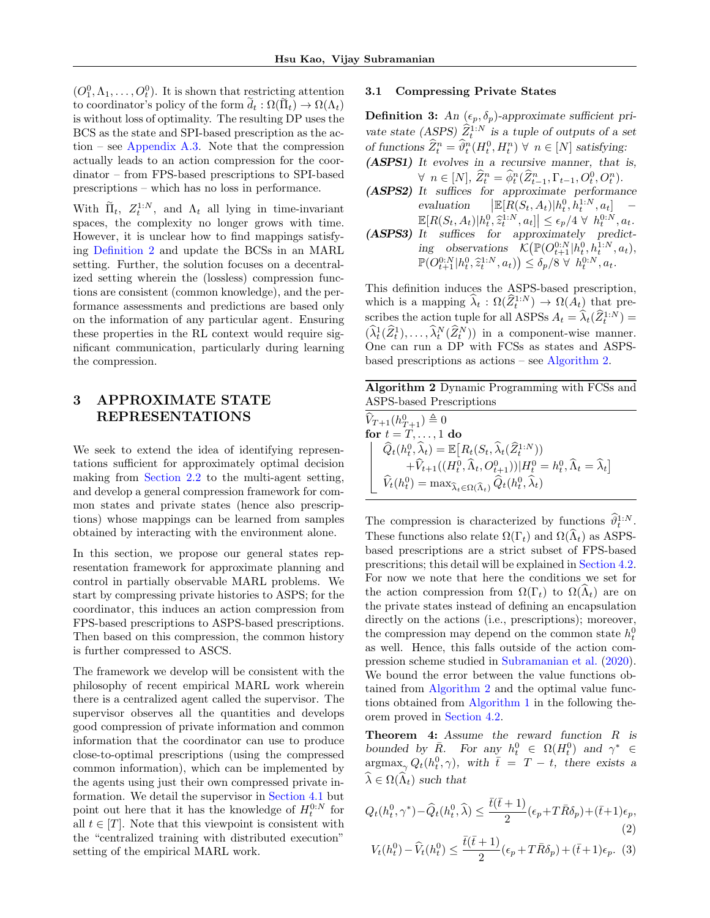$(O_1^0, \Lambda_1, \ldots, O_t^0)$ . It is shown that restricting attention to coordinator's policy of the form  $\tilde{d}_t : \Omega(\tilde{\Pi}_t) \to \Omega(\Lambda_t)$ is without loss of optimality. The resulting DP uses the BCS as the state and SPI-based prescription as the ac-tion – see [Appendix A.3.](#page-10-1) Note that the compression actually leads to an action compression for the coordinator – from FPS-based prescriptions to SPI-based prescriptions – which has no loss in performance.

With  $\tilde{\Pi}_t$ ,  $Z_t^{1:N}$ , and  $\Lambda_t$  all lying in time-invariant spaces, the complexity no longer grows with time. However, it is unclear how to find mappings satisfying [Definition 2](#page-3-3) and update the BCSs in an MARL setting. Further, the solution focuses on a decentralized setting wherein the (lossless) compression functions are consistent (common knowledge), and the performance assessments and predictions are based only on the information of any particular agent. Ensuring these properties in the RL context would require significant communication, particularly during learning the compression.

# <span id="page-4-3"></span>3 APPROXIMATE STATE REPRESENTATIONS

We seek to extend the idea of identifying representations sufficient for approximately optimal decision making from [Section 2.2](#page-2-2) to the multi-agent setting, and develop a general compression framework for common states and private states (hence also prescriptions) whose mappings can be learned from samples obtained by interacting with the environment alone.

In this section, we propose our general states representation framework for approximate planning and control in partially observable MARL problems. We start by compressing private histories to ASPS; for the coordinator, this induces an action compression from FPS-based prescriptions to ASPS-based prescriptions. Then based on this compression, the common history is further compressed to ASCS.

The framework we develop will be consistent with the philosophy of recent empirical MARL work wherein there is a centralized agent called the supervisor. The supervisor observes all the quantities and develops good compression of private information and common information that the coordinator can use to produce close-to-optimal prescriptions (using the compressed common information), which can be implemented by the agents using just their own compressed private information. We detail the supervisor in [Section 4.1](#page-6-0) but point out here that it has the knowledge of  $H_t^{0:N}$  for all  $t \in [T]$ . Note that this viewpoint is consistent with the "centralized training with distributed execution" setting of the empirical MARL work.

### 3.1 Compressing Private States

<span id="page-4-0"></span>**Definition 3:** An  $(\epsilon_p, \delta_p)$ -approximate sufficient private state (ASPS)  $\hat{Z}_t^{1:N}$  is a tuple of outputs of a set of functions  $\widehat{Z}_t^n = \widehat{\vartheta}_t^n(H_t^0, H_t^n) \ \forall \ n \in [N]$  satisfying: **(ASPS1)** It evolves in a recursive manner, that is,

 $\forall n \in [N], \ \widehat{Z}_t^n = \widehat{\phi}_t^n(\widehat{Z}_{t-1}^n, \Gamma_{t-1}, O_t^0, O_t^n).$ **(ASPS2)** It suffices for approximate performance evaluation  $\Big| \mathbb{E} [R(S_t, A_t)| h_t^0, h_t^{1:N}, a_t] \mathbb{E}[R(S_t, A_t)|h_t^0, \hat{z}_t^{1:N}, a_t] \leq \epsilon_p/4 \ \forall \ h_t^{0:N}, a_t.$ <br>It suffices for approximately product

**(ASPS3)** It suffices for approximately predicting observations  $\mathcal{K}(\mathbb{P}(O_{t+1}^{0:N}|h_t^0,h_t^{1:N},a_t),$  $\mathbb{P}(O_{t+1}^{0:N}|h_t^0, \hat{z}_t^{1:N}, a_t) \leq \delta_p/8 \ \forall \ h_t^{0:N}, a_t.$ 

This definition induces the ASPS-based prescription, which is a mapping  $\widehat{\lambda}_t : \Omega(\widehat{Z}_t^{1:N}) \to \Omega(A_t)$  that prescribes the action tuple for all ASPSs  $A_t = \lambda_t(\hat{Z}_t^{1:N}) =$  $(\widehat{\lambda}_t^1(\widehat{Z}_t^1), \ldots, \widehat{\lambda}_t^N(\widehat{Z}_t^N))$  in a component-wise manner. One can run a DP with FCSs as states and ASPSbased prescriptions as actions – see [Algorithm 2.](#page-4-2)

<span id="page-4-2"></span>Algorithm 2 Dynamic Programming with FCSs and ASPS-based Prescriptions

 $\hat{V}_{T+1}(h_{T+1}^0) \triangleq 0$ for  $t = T, \ldots, 1$  do  $\widehat{Q}_t(h_t^0, \widehat{\lambda}_t) = \mathbb{E}\big[R_t(S_t, \widehat{\lambda}_t(\widehat{Z}_t^{1:N}))$  $+(\widehat{V}_{t+1}((H_t^0,\widehat{\Lambda}_t,O_{t+1}^0))|H_t^0=h_t^0,\widehat{\Lambda}_t=\widehat{\lambda}_t]$  $\widehat{V}_t(h_t^0) = \max_{\widehat{\lambda}_t \in \Omega(\widehat{\Lambda}_t)} \widehat{Q}_t(h_t^0, \widehat{\lambda}_t)$ 

The compression is characterized by functions  $\widehat{\vartheta}_t^{1:N}$ . These functions also relate  $\Omega(\Gamma_t)$  and  $\Omega(\widehat{\Lambda}_t)$  as ASPSbased prescriptions are a strict subset of FPS-based prescritions; this detail will be explained in [Section 4.2.](#page-6-1) For now we note that here the conditions we set for the action compression from  $\Omega(\Gamma_t)$  to  $\Omega(\widehat{\Lambda}_t)$  are on the private states instead of defining an encapsulation directly on the actions (i.e., prescriptions); moreover, the compression may depend on the common state  $h_t^0$ as well. Hence, this falls outside of the action compression scheme studied in [Subramanian et al.](#page-9-5) [\(2020\)](#page-9-5). We bound the error between the value functions obtained from [Algorithm 2](#page-4-2) and the optimal value functions obtained from [Algorithm 1](#page-3-0) in the following theorem proved in [Section 4.2.](#page-6-1)

<span id="page-4-1"></span>**Theorem 4:** Assume the reward function R is bounded by  $\overline{R}$ . For any  $h_t^0 \in \Omega(H_t^0)$  and  $\gamma^* \in$  $\arg\max_{\gamma} Q_t(h_t^0, \gamma)$ , with  $\bar{t} = T - t$ , there exists a  $\widehat{\lambda} \in \Omega(\widehat{\Lambda}_t)$  such that

$$
Q_t(h_t^0, \gamma^*) - \widehat{Q}_t(h_t^0, \widehat{\lambda}) \le \frac{\bar{t}(\bar{t}+1)}{2} (\epsilon_p + T\bar{R}\delta_p) + (\bar{t}+1)\epsilon_p,
$$
\n(2)

$$
V_t(h_t^0) - \widehat{V}_t(h_t^0) \le \frac{\bar{t}(\bar{t}+1)}{2} (\epsilon_p + T\bar{R}\delta_p) + (\bar{t}+1)\epsilon_p. \tag{3}
$$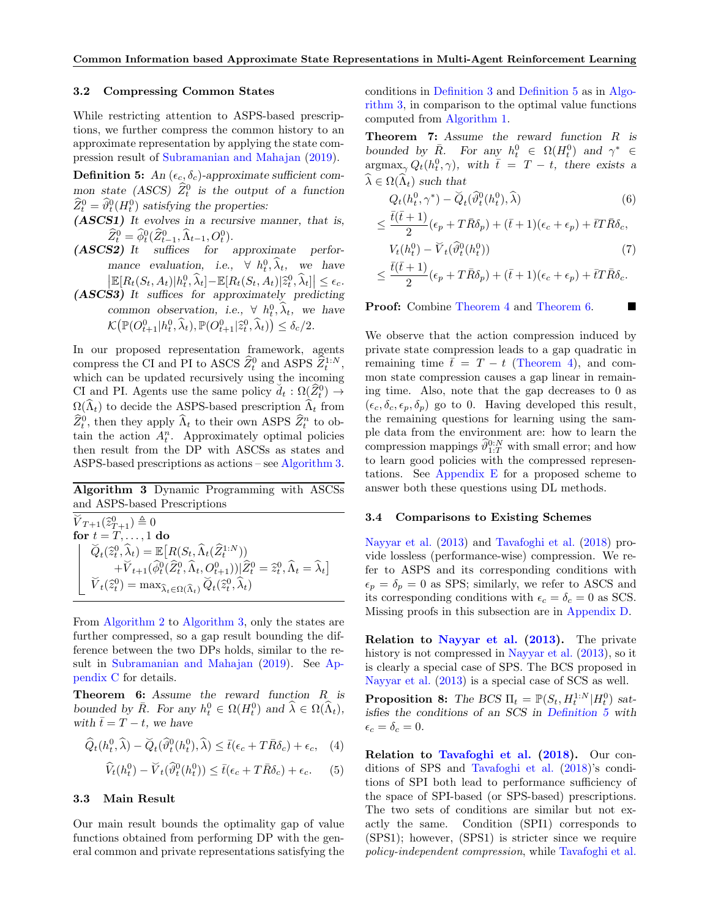### <span id="page-5-5"></span>3.2 Compressing Common States

While restricting attention to ASPS-based prescriptions, we further compress the common history to an approximate representation by applying the state compression result of [Subramanian and Mahajan](#page-9-4) [\(2019\)](#page-9-4).

<span id="page-5-0"></span>**Definition 5:** An  $(\epsilon_c, \delta_c)$ -approximate sufficient common state (ASCS)  $\hat{Z}_t^0$  is the output of a function  $\widehat{Z}_t^0 = \widehat{\vartheta}_t^0(H_t^0)$  satisfying the properties:

- **(ASCS1)** It evolves in a recursive manner, that is,  $\widehat{Z}_t^0 = \widehat{\phi}_t^0(\widehat{Z}_{t-1}^0, \widehat{\Lambda}_{t-1}, O_t^0).$
- **(ASCS2)** It suffices for approximate performance evaluation, i.e.,  $\forall h_t^0, \lambda_t$ , we have  $\left| \mathbb{E}[R_t(S_t, A_t)|h_t^0, \hat{\lambda}_t] - \mathbb{E}[R_t(S_t, A_t)|\hat{z}_t^0, \hat{\lambda}_t] \right| \leq \epsilon_c.$ S2) It suffices for approximately producing
- **(ASCS3)** It suffices for approximately predicting common observation, i.e.,  $\forall h_t^0, \hat{\lambda}_t$ , we have  $\mathcal{K}\big(\mathbb{P}(O_{t+1}^0 | h_t^0, \widehat{\lambda}_t), \mathbb{P}(O_{t+1}^0 | \widehat{z}_t^0, \widehat{\lambda}_t)\big) \leq \delta_c/2.$

In our proposed representation framework, agents compress the CI and PI to ASCS  $\hat{Z}_t^0$  and ASPS  $\hat{Z}_t^{1:N}$ , which can be updated recursively using the incoming CI and PI. Agents use the same policy  $d_t : \Omega(\widehat{Z}_t^0) \to$  $\checkmark$  $\Omega(\widehat{\Lambda}_t)$  to decide the ASPS-based prescription  $\widehat{\Lambda}_t$  from  $\widehat{Z}_t^0$ , then they apply  $\widehat{\Lambda}_t$  to their own ASPS  $\widehat{Z}_t^n$  to obtain the action  $A_t^n$ . Approximately optimal policies then result from the DP with ASCSs as states and ASPS-based prescriptions as actions – see [Algorithm 3.](#page-5-3)

<span id="page-5-3"></span>Algorithm 3 Dynamic Programming with ASCSs and ASPS-based Prescriptions

 $\widetilde{V}_{T+1}(\widehat{z}^0_{T+1}) \triangleq 0$ <br>for  $t-T$ for  $t = T, \ldots, 1$  do  $\widetilde{Q}_t(\widehat{z}_t^0, \widehat{\lambda}_t) = \mathbb{E}\big[R(S_t, \widehat{\Lambda}_t(\widehat{Z}_t^{1:N}))\big]$  $+\widetilde{V}_{t+1}(\widehat{\phi}_t^0(\widehat{Z}_t^0,\widehat{\Lambda}_t,O_{t+1}^0))|\widehat{Z}_t^0=\widehat{z}_t^0,\widehat{\Lambda}_t=\widehat{\lambda}_t]$  $\widetilde{V}_t(\widehat{z}_t^0) = \max_{\widehat{\lambda}_t \in \Omega(\widehat{\Lambda}_t)} \widetilde{Q}_t(\widehat{z}_t^0, \widehat{\lambda}_t)$ 

From [Algorithm 2](#page-4-2) to [Algorithm 3,](#page-5-3) only the states are further compressed, so a gap result bounding the difference between the two DPs holds, similar to the result in [Subramanian and Mahajan](#page-9-4) [\(2019\)](#page-9-4). See [Ap](#page-16-0)[pendix C](#page-16-0) for details.

<span id="page-5-1"></span>**Theorem 6:** Assume the reward function R is bounded by  $\overline{R}$ . For any  $h_t^0 \in \Omega(H_t^0)$  and  $\widehat{\lambda} \in \Omega(\widehat{\Lambda}_t)$ , with  $\bar{t} = T - t$ , we have

$$
\widehat{Q}_t(h_t^0, \widehat{\lambda}) - \widecheck{Q}_t(\widehat{\vartheta}_t^0(h_t^0), \widehat{\lambda}) \le \bar{t}(\epsilon_c + T\bar{R}\delta_c) + \epsilon_c, \quad (4)
$$

$$
\widehat{V}_t(h_t^0) - \widecheck{V}_t(\widehat{\vartheta}_t^0(h_t^0)) \le \overline{t}(\epsilon_c + T\overline{R}\delta_c) + \epsilon_c. \tag{5}
$$

### 3.3 Main Result

Our main result bounds the optimality gap of value functions obtained from performing DP with the general common and private representations satisfying the conditions in [Definition 3](#page-4-0) and [Definition 5](#page-5-0) as in [Algo](#page-5-3)[rithm 3,](#page-5-3) in comparison to the optimal value functions computed from [Algorithm 1.](#page-3-0)

<span id="page-5-2"></span>**Theorem 7:** Assume the reward function R is bounded by  $\bar{R}$ . For any  $h_t^0 \in \Omega(H_t^0)$  and  $\gamma^* \in$  $\arg \max_{\gamma} Q_t(h_t^0, \gamma)$ , with  $\bar{t} = T - t$ , there exists a  $\widehat{\lambda} \in \Omega(\widehat{\Lambda}_t)$  such that

$$
Q_t(h_t^0, \gamma^*) - \breve{Q}_t(\widehat{\vartheta}_t^0(h_t^0), \widehat{\lambda})\tag{6}
$$

$$
\leq \frac{\bar{t}(\bar{t}+1)}{2}(\epsilon_p + T\bar{R}\delta_p) + (\bar{t}+1)(\epsilon_c + \epsilon_p) + \bar{t}T\bar{R}\delta_c,
$$
  

$$
V_t(h_t^0) - \widetilde{V}_t(\widehat{\vartheta}_t^0(h_t^0))
$$
 (7)

$$
\leq \frac{\bar{t}(\bar{t}+1)}{2}(\epsilon_p + T\bar{R}\delta_p) + (\bar{t}+1)(\epsilon_c + \epsilon_p) + \bar{t}T\bar{R}\delta_c.
$$

Proof: Combine [Theorem 4](#page-4-1) and [Theorem 6.](#page-5-1)

We observe that the action compression induced by private state compression leads to a gap quadratic in remaining time  $\bar{t} = T - t$  [\(Theorem 4\)](#page-4-1), and common state compression causes a gap linear in remaining time. Also, note that the gap decreases to 0 as  $(\epsilon_{c}, \delta_{c}, \epsilon_{p}, \delta_{p})$  go to 0. Having developed this result, the remaining questions for learning using the sample data from the environment are: how to learn the compression mappings  $\widehat{\vartheta}_{1:T}^{0:N}$  with small error; and how to learn good policies with the compressed representations. See [Appendix E](#page-19-0) for a proposed scheme to answer both these questions using DL methods.

### <span id="page-5-6"></span>3.4 Comparisons to Existing Schemes

[Nayyar et al.](#page-9-1) [\(2013\)](#page-9-1) and [Tavafoghi et al.](#page-9-11) [\(2018\)](#page-9-11) provide lossless (performance-wise) compression. We refer to ASPS and its corresponding conditions with  $\epsilon_p = \delta_p = 0$  as SPS; similarly, we refer to ASCS and its corresponding conditions with  $\epsilon_c = \delta_c = 0$  as SCS. Missing proofs in this subsection are in [Appendix D.](#page-18-0)

Relation to [Nayyar et al.](#page-9-1) [\(2013\)](#page-9-1). The private history is not compressed in [Nayyar et al.](#page-9-1) [\(2013\)](#page-9-1), so it is clearly a special case of SPS. The BCS proposed in [Nayyar et al.](#page-9-1) [\(2013\)](#page-9-1) is a special case of SCS as well.

<span id="page-5-4"></span>**Proposition 8:** The BCS  $\Pi_t = \mathbb{P}(S_t, H_t^{1:N}|H_t^0)$  satisfies the conditions of an SCS in [Definition 5](#page-5-0) with  $\epsilon_c = \delta_c = 0.$ 

Relation to [Tavafoghi et al.](#page-9-11) [\(2018\)](#page-9-11). Our conditions of SPS and [Tavafoghi et al.](#page-9-11) [\(2018\)](#page-9-11)'s conditions of SPI both lead to performance sufficiency of the space of SPI-based (or SPS-based) prescriptions. The two sets of conditions are similar but not exactly the same. Condition (SPI1) corresponds to (SPS1); however, (SPS1) is stricter since we require policy-independent compression, while [Tavafoghi et al.](#page-9-11)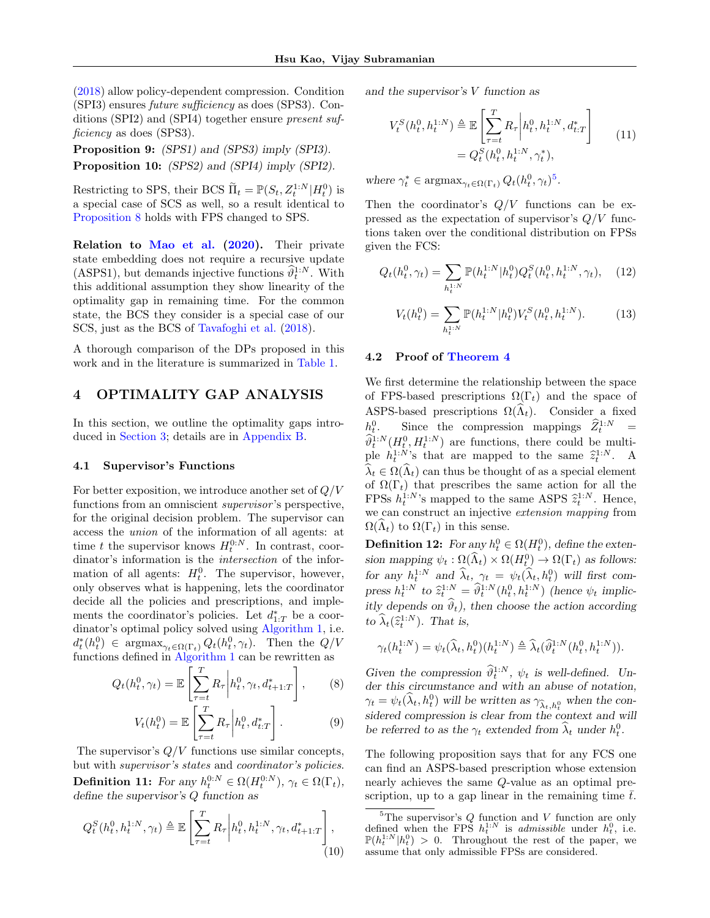[\(2018\)](#page-9-11) allow policy-dependent compression. Condition (SPI3) ensures future sufficiency as does (SPS3). Conditions (SPI2) and (SPI4) together ensure present sufficiency as does (SPS3).

<span id="page-6-4"></span>**Proposition 9:** (SPS1) and (SPS3) imply (SPI3).

<span id="page-6-5"></span>**Proposition 10:** (SPS2) and (SPI4) imply (SPI2).

Restricting to SPS, their BCS  $\tilde{\Pi}_t = \mathbb{P}(S_t, Z_t^{1:N}|H_t^0)$  is a special case of SCS as well, so a result identical to [Proposition 8](#page-5-4) holds with FPS changed to SPS.

Relation to [Mao et al.](#page-9-7) [\(2020\)](#page-9-7). Their private state embedding does not require a recursive update (ASPS1), but demands injective functions  $\widehat{\theta}_t^{1:N}$ . With this additional assumption they show linearity of the optimality gap in remaining time. For the common state, the BCS they consider is a special case of our SCS, just as the BCS of [Tavafoghi et al.](#page-9-11) [\(2018\)](#page-9-11).

A thorough comparison of the DPs proposed in this work and in the literature is summarized in [Table 1.](#page-11-0)

# 4 OPTIMALITY GAP ANALYSIS

In this section, we outline the optimality gaps introduced in [Section 3;](#page-4-3) details are in [Appendix B.](#page-11-1)

### <span id="page-6-0"></span>4.1 Supervisor's Functions

For better exposition, we introduce another set of  $Q/V$ functions from an omniscient *supervisor*'s perspective, for the original decision problem. The supervisor can access the union of the information of all agents: at time t the supervisor knows  $H_t^{0:N}$ . In contrast, coordinator's information is the intersection of the information of all agents:  $H_t^0$ . The supervisor, however, only observes what is happening, lets the coordinator decide all the policies and prescriptions, and implements the coordinator's policies. Let  $d_{1:T}^*$  be a coordinator's optimal policy solved using [Algorithm 1,](#page-3-0) i.e.  $d_t^*(h_t^0) \in \text{argmax}_{\gamma_t \in \Omega(\Gamma_t)} Q_t(h_t^0, \gamma_t)$ . Then the  $Q/V$ functions defined in [Algorithm 1](#page-3-0) can be rewritten as

$$
Q_t(h_t^0, \gamma_t) = \mathbb{E}\left[\sum_{\tau=t}^T R_\tau \middle| h_t^0, \gamma_t, d_{t+1:T}^*\right],\qquad(8)
$$

$$
V_t(h_t^0) = \mathbb{E}\left[\sum_{\tau=t}^T R_\tau \middle| h_t^0, d_{t:T}^*\right].
$$
 (9)

The supervisor's  $Q/V$  functions use similar concepts, but with supervisor's states and coordinator's policies. **Definition 11:** For any  $h_t^{0:N} \in \Omega(H_t^{0:N})$ ,  $\gamma_t \in \Omega(\Gamma_t)$ , define the supervisor's Q function as

$$
Q_t^S(h_t^0, h_t^{1:N}, \gamma_t) \triangleq \mathbb{E}\left[\sum_{\tau=t}^T R_\tau \bigg| h_t^0, h_t^{1:N}, \gamma_t, d_{t+1:T}^*\right],\tag{10}
$$

and the supervisor's V function as

$$
V_t^S(h_t^0, h_t^{1:N}) \triangleq \mathbb{E}\left[\sum_{\tau=t}^T R_\tau \middle| h_t^0, h_t^{1:N}, d_{t:T}^*\right] = Q_t^S(h_t^0, h_t^{1:N}, \gamma_t^*),
$$
 (11)

where  $\gamma_t^* \in \text{argmax}_{\gamma_t \in \Omega(\Gamma_t)} Q_t(h_t^0, \gamma_t)^5$  $\gamma_t^* \in \text{argmax}_{\gamma_t \in \Omega(\Gamma_t)} Q_t(h_t^0, \gamma_t)^5$ .

Then the coordinator's  $Q/V$  functions can be expressed as the expectation of supervisor's  $Q/V$  functions taken over the conditional distribution on FPSs given the FCS:

<span id="page-6-3"></span>
$$
Q_t(h_t^0, \gamma_t) = \sum_{h_t^{1:N}} \mathbb{P}(h_t^{1:N} | h_t^0) Q_t^S(h_t^0, h_t^{1:N}, \gamma_t), \quad (12)
$$

$$
V_t(h_t^0) = \sum_{h_t^{1:N}} \mathbb{P}(h_t^{1:N} | h_t^0) V_t^S(h_t^0, h_t^{1:N}). \tag{13}
$$

### <span id="page-6-1"></span>4.2 Proof of [Theorem 4](#page-4-1)

We first determine the relationship between the space of FPS-based prescriptions  $\Omega(\Gamma_t)$  and the space of ASPS-based prescriptions  $\Omega(\widehat{\Lambda}_t)$ . Consider a fixed  $h_t^0$ Since the compression mappings  $\hat{Z}_t^{1:N}$  =  $\hat{\theta}_t^{1:N}(H_t^0, H_t^{1:N})$  are functions, there could be multiple  $h_t^{1:N}$ 's that are mapped to the same  $\hat{z}_t^{1:N}$ . A  $\widehat{\lambda}_t \in \Omega(\widehat{\Lambda}_t)$  can thus be thought of as a special element of  $\Omega(\Gamma_t)$  that prescribes the same action for all the FPSs  $h_t^{1:N}$ 's mapped to the same ASPS  $\hat{z}_t^{1:N}$ . Hence, we can construct an injective extension mapping from  $\Omega(\Lambda_t)$  to  $\Omega(\Gamma_t)$  in this sense.

**Definition 12:** For any  $h_t^0 \in \Omega(H_t^0)$ , define the extension mapping  $\psi_t : \Omega(\widehat{\Lambda}_t) \times \Omega(H_t^0) \to \Omega(\Gamma_t)$  as follows: for any  $h_t^{1:N}$  and  $\hat{\lambda}_t$ ,  $\gamma_t = \psi_t(\hat{\lambda}_t, h_t^0)$  will first compress  $h_t^{1:N}$  to  $\hat{z}_t^{1:N} = \hat{\theta}_t^{1:N} (h_t^0, h_t^{1:N})$  (hence  $\psi_t$  implicitly depends on  $\widehat{\vartheta}_t$ ), then choose the action according to  $\widehat{\lambda}_t(\widehat{z}_t^{1:N})$ . That is,

$$
\gamma_t(h^{1:N}_t) = \psi_t(\widehat{\lambda}_t, h^0_t)(h^{1:N}_t) \triangleq \widehat{\lambda}_t(\widehat{\vartheta}^{1:N}_t(h^0_t, h^{1:N}_t)).
$$

Given the compression  $\widehat{\vartheta}_t^{1:N}$ ,  $\psi_t$  is well-defined. Under this circumstance and with an abuse of notation,  $\gamma_t = \psi_t(\hat{\lambda}_t, h_t^0)$  will be written as  $\gamma_{\hat{\lambda}_t, h_t^0}$  when the considered compression is clear from the context and will be referred to as the  $\gamma_t$  extended from  $\hat{\lambda}_t$  under  $h_t^0$ .

The following proposition says that for any FCS one can find an ASPS-based prescription whose extension nearly achieves the same Q-value as an optimal prescription, up to a gap linear in the remaining time  $\bar{t}$ .

<span id="page-6-2"></span><sup>&</sup>lt;sup>5</sup>The supervisor's  $Q$  function and  $V$  function are only defined when the FPS  $h_t^{1:N}$  is *admissible* under  $h_t^0$ , i.e.  $\mathbb{P}(h_t^{1:N}|h_t^0) > 0$ . Throughout the rest of the paper, we assume that only admissible FPSs are considered.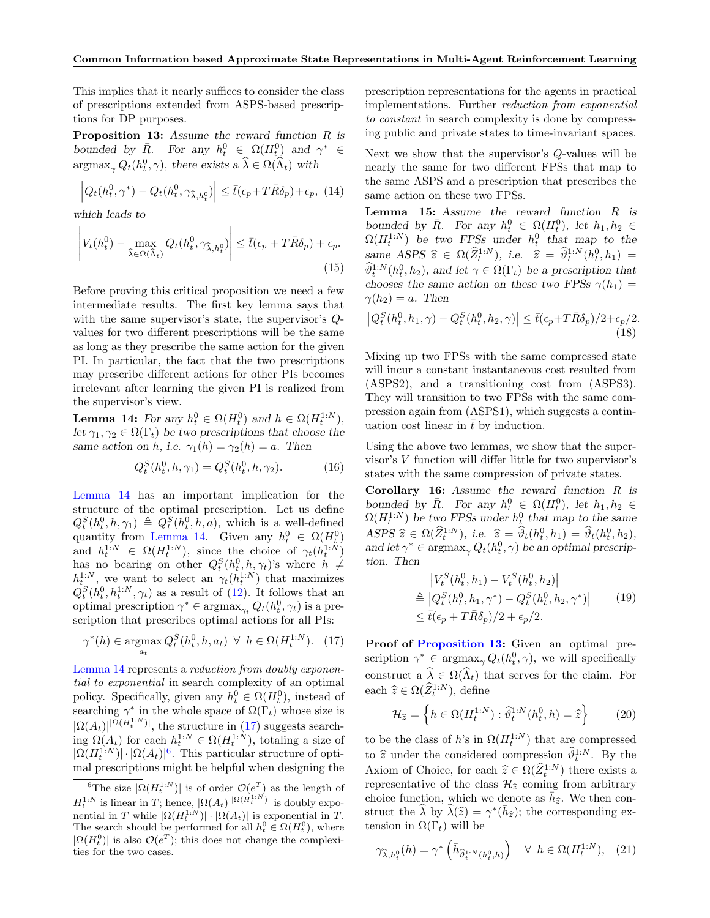This implies that it nearly suffices to consider the class of prescriptions extended from ASPS-based prescriptions for DP purposes.

<span id="page-7-3"></span>**Proposition 13:** Assume the reward function R is bounded by  $\bar{R}$ . For any  $h_t^0 \in \Omega(H_t^0)$  and  $\gamma^* \in$  $\argmax_{\gamma} Q_t(h_t^0, \gamma)$ , there exists a  $\widehat{\lambda} \in \Omega(\widehat{\Lambda}_t)$  with

$$
\left| Q_t(h_t^0, \gamma^*) - Q_t(h_t^0, \gamma_{\widehat{\lambda}, h_t^0}) \right| \le \bar{t}(\epsilon_p + T\bar{R}\delta_p) + \epsilon_p, \tag{14}
$$

which leads to

$$
\left| V_t(h_t^0) - \max_{\widehat{\lambda} \in \Omega(\widehat{\Lambda}_t)} Q_t(h_t^0, \gamma_{\widehat{\lambda}, h_t^0}) \right| \le \bar{t}(\epsilon_p + T\bar{R}\delta_p) + \epsilon_p.
$$
\n(15)

Before proving this critical proposition we need a few intermediate results. The first key lemma says that with the same supervisor's state, the supervisor's Qvalues for two different prescriptions will be the same as long as they prescribe the same action for the given PI. In particular, the fact that the two prescriptions may prescribe different actions for other PIs becomes irrelevant after learning the given PI is realized from the supervisor's view.

<span id="page-7-0"></span>**Lemma 14:** For any  $h_t^0 \in \Omega(H_t^0)$  and  $h \in \Omega(H_t^{1:N})$ , let  $\gamma_1, \gamma_2 \in \Omega(\Gamma_t)$  be two prescriptions that choose the same action on h, i.e.  $\gamma_1(h) = \gamma_2(h) = a$ . Then

$$
Q_t^S(h_t^0, h, \gamma_1) = Q_t^S(h_t^0, h, \gamma_2). \tag{16}
$$

[Lemma 14](#page-7-0) has an important implication for the structure of the optimal prescription. Let us define  $Q_t^S(h_t^0, h, \gamma_1) \triangleq Q_t^S(h_t^0, h, a)$ , which is a well-defined quantity from [Lemma 14.](#page-7-0) Given any  $h_t^0 \in \Omega(H_t^0)$ and  $h_t^{1:N} \in \Omega(H_t^{1:N})$ , since the choice of  $\gamma_t(h_t^{1:N})$ has no bearing on other  $Q_t^S(h_t^0, h, \gamma_t)$ 's where  $h \neq$  $h_t^{1:N}$ , we want to select an  $\gamma_t(h_t^{1:N})$  that maximizes  $Q_t^S(h_t^0, h_t^{1:N}, \gamma_t)$  as a result of [\(12\)](#page-6-3). It follows that an optimal prescription  $\gamma^* \in \text{argmax}_{\gamma_t} Q_t(h_t^0, \gamma_t)$  is a prescription that prescribes optimal actions for all PIs:

<span id="page-7-1"></span>
$$
\gamma^*(h) \in \underset{a_t}{\text{argmax}} \, Q_t^S(h_t^0, h, a_t) \ \forall \ h \in \Omega(H_t^{1:N}). \tag{17}
$$

[Lemma 14](#page-7-0) represents a reduction from doubly exponential to exponential in search complexity of an optimal policy. Specifically, given any  $h_t^0 \in \Omega(H_t^0)$ , instead of searching  $\gamma^*$  in the whole space of  $\Omega(\Gamma_t)$  whose size is  $|\Omega(A_t)|^{|\Omega(H_t^{1:N})|}$ , the structure in [\(17\)](#page-7-1) suggests searching  $\Omega(A_t)$  for each  $h_t^{1:N} \in \Omega(H_t^{1:N})$ , totaling a size of  $|\Omega(H_t^{1:N})| \cdot |\Omega(A_t)|^6$  $|\Omega(H_t^{1:N})| \cdot |\Omega(A_t)|^6$ . This particular structure of optimal prescriptions might be helpful when designing the prescription representations for the agents in practical implementations. Further reduction from exponential to constant in search complexity is done by compressing public and private states to time-invariant spaces.

Next we show that the supervisor's  $Q$ -values will be nearly the same for two different FPSs that map to the same ASPS and a prescription that prescribes the same action on these two FPSs.

<span id="page-7-5"></span>**Lemma 15:** Assume the reward function R is bounded by  $\overline{R}$ . For any  $h_t^0 \in \Omega(H_t^0)$ , let  $h_1, h_2 \in$  $\Omega(H_t^{1:N})$  be two FPSs under  $h_t^0$  that map to the same ASPS  $\hat{z} \in \Omega(\hat{Z}_1^{1:N})$ , i.e.  $\hat{z} = \hat{\vartheta}_1^{1:N}(h_1^0, h_1) =$ <br> $\hat{\vartheta}_1^{1:N}(h_1^0, h_1)$  and let u.e.  $\Omega(\Gamma)$ , has a measure time that  $\widehat{\theta}_t^{1:N}(h_t^0,h_2)$ , and let  $\gamma \in \Omega(\Gamma_t)$  be a prescription that chooses the same action on these two FPSs  $\gamma(h_1)$  =  $\gamma(h_2) = a$ . Then

$$
\left|Q_t^S(h_t^0, h_1, \gamma) - Q_t^S(h_t^0, h_2, \gamma)\right| \le \bar{t}(\epsilon_p + T\bar{R}\delta_p)/2 + \epsilon_p/2.
$$
\n(18)

Mixing up two FPSs with the same compressed state will incur a constant instantaneous cost resulted from (ASPS2), and a transitioning cost from (ASPS3). They will transition to two FPSs with the same compression again from (ASPS1), which suggests a continuation cost linear in  $\bar{t}$  by induction.

Using the above two lemmas, we show that the supervisor's V function will differ little for two supervisor's states with the same compression of private states.

<span id="page-7-4"></span>**Corollary 16:** Assume the reward function R is bounded by  $\overline{R}$ . For any  $h_t^0 \in \Omega(H_t^0)$ , let  $h_1, h_2 \in$  $\Omega(H_t^{1:N})$  be two FPSs under  $h_t^0$  that map to the same  $\widehat{ASPS} \widehat{z} \in \Omega(\widehat{Z}_1^{1:N}),$  i.e.  $\widehat{z} = \widehat{\vartheta}_t(h_t^0, h_1) = \widehat{\vartheta}_t(h_t^0, h_2),$ <br>and let  $\widehat{\varphi}_t^* \in \operatorname{argmax}_{\Omega}(\Omega(h_t^0, \alpha))$  be an optimal proscripand let  $\gamma^* \in \text{argmax}_{\gamma} Q_t(h_t^0, \gamma)$  be an optimal prescription. Then

$$
|V_t^S(h_t^0, h_1) - V_t^S(h_t^0, h_2)|
$$
  
\n
$$
\stackrel{\triangle}{=} |Q_t^S(h_t^0, h_1, \gamma^*) - Q_t^S(h_t^0, h_2, \gamma^*)|
$$
 (19)  
\n
$$
\leq \bar{t}(\epsilon_p + T\bar{R}\delta_p)/2 + \epsilon_p/2.
$$

Proof of [Proposition 13:](#page-7-3) Given an optimal prescription  $\gamma^* \in \text{argmax}_{\gamma} Q_t(h_t^0, \gamma)$ , we will specifically construct a  $\hat{\lambda} \in \Omega(\hat{\Lambda}_t)$  that serves for the claim. For each  $\widehat{z} \in \Omega(\widehat{Z}_t^{1:N})$ , define

$$
\mathcal{H}_{\hat{z}} = \left\{ h \in \Omega(H_t^{1:N}) : \hat{\vartheta}_t^{1:N}(h_t^0, h) = \hat{z} \right\}
$$
 (20)

to be the class of h's in  $\Omega(H_t^{1:N})$  that are compressed to  $\hat{z}$  under the considered compression  $\hat{\theta}_t^{1:N}$ . By the Axiom of Choice, for each  $\hat{z} \in \Omega(\hat{Z}_t^{1:N})$  there exists a representative of the class  $\mathcal{U}_t$  coming from exhibition representative of the class  $\mathcal{H}_{\hat{z}}$  coming from arbitrary choice function, which we denote as  $\vec{h}_{\hat{z}}$ . We then construct the  $\hat{\lambda}$  by  $\hat{\lambda}(\hat{z}) = \gamma^*(\bar{h}_{\hat{z}});$  the corresponding extension in  $\Omega(\Gamma_t)$  will be

$$
\gamma_{\widehat{\lambda},h_t^0}(h) = \gamma^* \left(\bar{h}_{\widehat{\vartheta}_t^{1:N}(h_t^0,h)}\right) \quad \forall \ h \in \Omega(H_t^{1:N}), \tag{21}
$$

<span id="page-7-2"></span><sup>&</sup>lt;sup>6</sup>The size  $|\Omega(H_t^{1:N})|$  is of order  $\mathcal{O}(e^T)$  as the length of  $H_t^{1:N}$  is linear in T; hence,  $|\Omega(A_t)|^{|\Omega(H_t^{1:N})|}$  is doubly exponential in T while  $|\Omega(H_t^{1:N})| \cdot |\Omega(A_t)|$  is exponential in T. The search should be performed for all  $h_t^0 \in \Omega(H_t^0)$ , where  $|\Omega(H_t^0)|$  is also  $\mathcal{O}(e^T)$ ; this does not change the complexities for the two cases.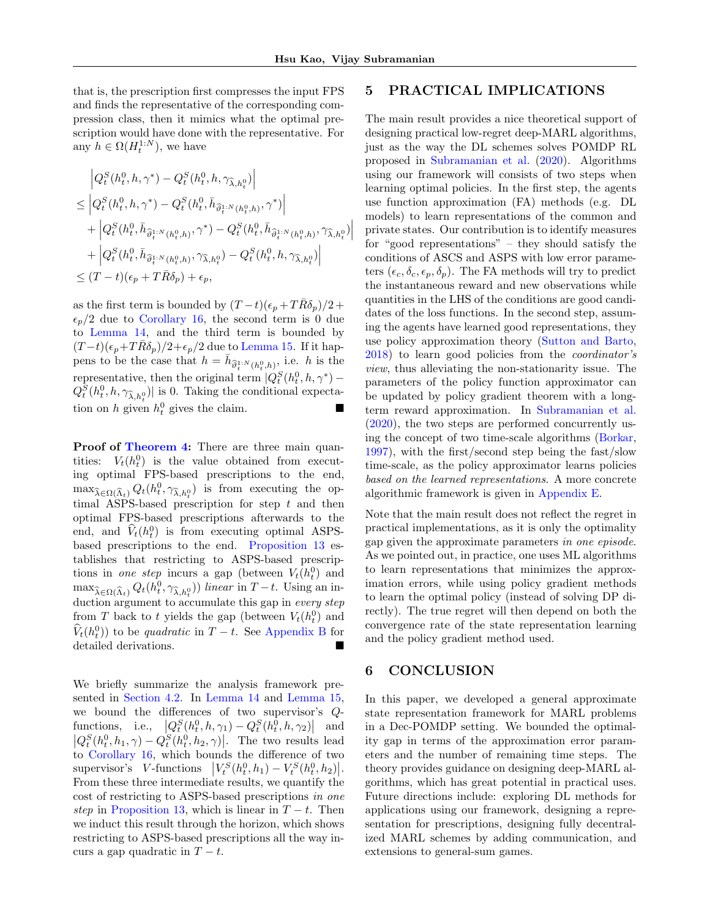that is, the prescription first compresses the input FPS and finds the representative of the corresponding compression class, then it mimics what the optimal prescription would have done with the representative. For any  $h \in \Omega(H_t^{1:N})$ , we have

$$
\left| Q_t^S(h_t^0, h, \gamma^*) - Q_t^S(h_t^0, h, \gamma_{\widehat{\lambda}, h_t^0}) \right|
$$
  
\n
$$
\leq \left| Q_t^S(h_t^0, h, \gamma^*) - Q_t^S(h_t^0, \bar{h}_{\widehat{\theta}_t^{1:N}(h_t^0, h)}, \gamma^*) \right|
$$
  
\n
$$
+ \left| Q_t^S(h_t^0, \bar{h}_{\widehat{\theta}_t^{1:N}(h_t^0, h)}, \gamma^*) - Q_t^S(h_t^0, \bar{h}_{\widehat{\theta}_t^{1:N}(h_t^0, h)}, \gamma_{\widehat{\lambda}, h_t^0}) \right|
$$
  
\n
$$
+ \left| Q_t^S(h_t^0, \bar{h}_{\widehat{\theta}_t^{1:N}(h_t^0, h)}, \gamma_{\widehat{\lambda}, h_t^0}) - Q_t^S(h_t^0, h, \gamma_{\widehat{\lambda}, h_t^0}) \right|
$$
  
\n
$$
\leq (T-t)(\epsilon_p + T\bar{R}\delta_p) + \epsilon_p,
$$

as the first term is bounded by  $(T-t)(\epsilon_p + T\overline{R}\delta_p)/2 +$  $\epsilon_p/2$  due to [Corollary 16,](#page-7-4) the second term is 0 due to [Lemma 14,](#page-7-0) and the third term is bounded by  $(T-t)(\epsilon_p+T\bar{R}\delta_p)/2+\epsilon_p/2$  due to [Lemma 15.](#page-7-5) If it happens to be the case that  $h = \bar{h}_{\hat{\theta}_t^{1:N}(h_t^0,h)},$  i.e. h is the representative, then the original term  $|Q_t^S(h_t^0, h, \gamma^*) Q_t^S(h_t^0, h, \gamma_{\widehat{\lambda},h_t^0})$  is 0. Taking the conditional expectation on h given  $h_t^0$  gives the claim.

Proof of [Theorem 4:](#page-4-1) There are three main quantities:  $V_t(h_t^0)$  is the value obtained from executing optimal FPS-based prescriptions to the end,  $\max_{\hat{\lambda} \in \Omega(\hat{\Lambda}_t)} Q_t(h_t^0, \gamma_{\hat{\lambda},h_t^0})$  is from executing the optimal ASPS-based prescription for step  $t$  and then optimal FPS-based prescriptions afterwards to the end, and  $\hat{V}_t(h_t^0)$  is from executing optimal ASPSbased prescriptions to the end. [Proposition 13](#page-7-3) establishes that restricting to ASPS-based prescriptions in one step incurs a gap (between  $V_t(h_t^0)$ ) and  $\max_{\widehat{\lambda} \in \Omega(\widehat{\Lambda}_t)} Q_t(h_t^0, \gamma_{\widehat{\lambda},h_t^0})$  linear in  $T-t$ . Using an induction argument to accumulate this gap in every step from T back to t yields the gap (between  $V_t(h_t^0)$  and  $\widehat{V}_t(h_t^0)$  to be quadratic in  $T-t$ . See [Appendix B](#page-11-1) for detailed derivations.

We briefly summarize the analysis framework presented in [Section 4.2.](#page-6-1) In [Lemma 14](#page-7-0) and [Lemma 15,](#page-7-5) we bound the differences of two supervisor's Qfunctions, i.e.,  $|Q_t^S(h_t^0, h, \gamma_1) - Q_t^S(h_t^0, h, \gamma_2)|$  and  $|Q_t^S(h_t^0, h_1, \gamma) - Q_t^S(h_t^0, h_2, \gamma)|$ . The two results lead to [Corollary 16,](#page-7-4) which bounds the difference of two supervisor's V-functions  $\left|V_t^S(h_t^0,h_1) - V_t^S(h_t^0,h_2)\right|$ . From these three intermediate results, we quantify the cost of restricting to ASPS-based prescriptions in one step in [Proposition 13,](#page-7-3) which is linear in  $T - t$ . Then we induct this result through the horizon, which shows restricting to ASPS-based prescriptions all the way incurs a gap quadratic in  $T - t$ .

# 5 PRACTICAL IMPLICATIONS

The main result provides a nice theoretical support of designing practical low-regret deep-MARL algorithms, just as the way the DL schemes solves POMDP RL proposed in [Subramanian et al.](#page-9-5) [\(2020\)](#page-9-5). Algorithms using our framework will consists of two steps when learning optimal policies. In the first step, the agents use function approximation (FA) methods (e.g. DL models) to learn representations of the common and private states. Our contribution is to identify measures for "good representations" – they should satisfy the conditions of ASCS and ASPS with low error parameters  $(\epsilon_c, \delta_c, \epsilon_p, \delta_p)$ . The FA methods will try to predict the instantaneous reward and new observations while quantities in the LHS of the conditions are good candidates of the loss functions. In the second step, assuming the agents have learned good representations, they use policy approximation theory [\(Sutton and Barto,](#page-9-18) [2018\)](#page-9-18) to learn good policies from the coordinator's view, thus alleviating the non-stationarity issue. The parameters of the policy function approximator can be updated by policy gradient theorem with a longterm reward approximation. In [Subramanian et al.](#page-9-5) [\(2020\)](#page-9-5), the two steps are performed concurrently using the concept of two time-scale algorithms [\(Borkar,](#page-9-19) [1997\)](#page-9-19), with the first/second step being the fast/slow time-scale, as the policy approximator learns policies based on the learned representations. A more concrete algorithmic framework is given in [Appendix E.](#page-19-0)

Note that the main result does not reflect the regret in practical implementations, as it is only the optimality gap given the approximate parameters in one episode. As we pointed out, in practice, one uses ML algorithms to learn representations that minimizes the approximation errors, while using policy gradient methods to learn the optimal policy (instead of solving DP directly). The true regret will then depend on both the convergence rate of the state representation learning and the policy gradient method used.

# 6 CONCLUSION

In this paper, we developed a general approximate state representation framework for MARL problems in a Dec-POMDP setting. We bounded the optimality gap in terms of the approximation error parameters and the number of remaining time steps. The theory provides guidance on designing deep-MARL algorithms, which has great potential in practical uses. Future directions include: exploring DL methods for applications using our framework, designing a representation for prescriptions, designing fully decentralized MARL schemes by adding communication, and extensions to general-sum games.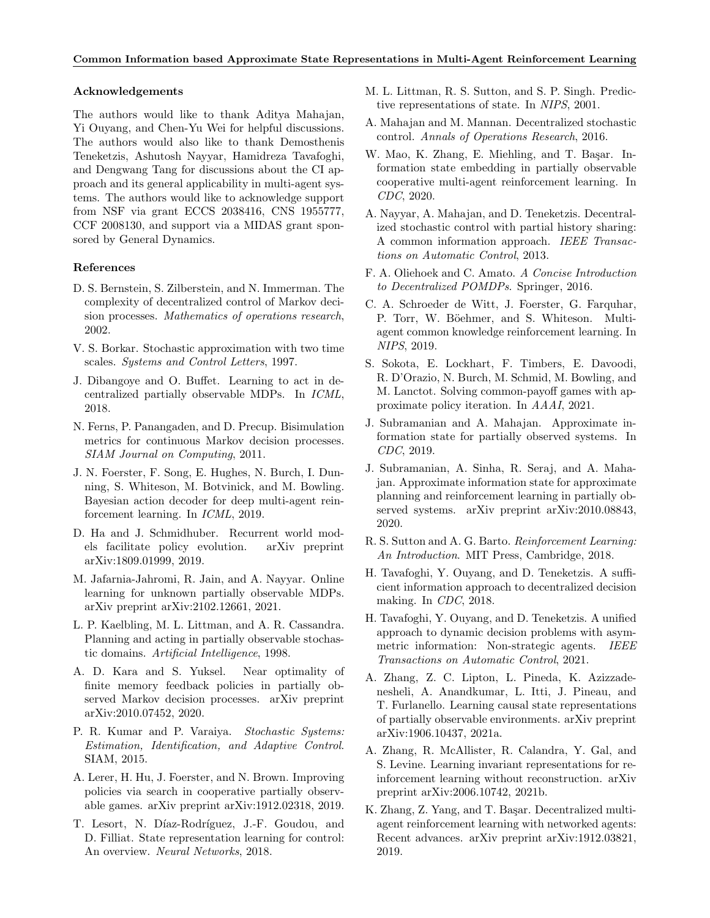#### Acknowledgements

The authors would like to thank Aditya Mahajan, Yi Ouyang, and Chen-Yu Wei for helpful discussions. The authors would also like to thank Demosthenis Teneketzis, Ashutosh Nayyar, Hamidreza Tavafoghi, and Dengwang Tang for discussions about the CI approach and its general applicability in multi-agent systems. The authors would like to acknowledge support from NSF via grant ECCS 2038416, CNS 1955777, CCF 2008130, and support via a MIDAS grant sponsored by General Dynamics.

### References

- <span id="page-9-0"></span>D. S. Bernstein, S. Zilberstein, and N. Immerman. The complexity of decentralized control of Markov decision processes. Mathematics of operations research, 2002.
- <span id="page-9-19"></span>V. S. Borkar. Stochastic approximation with two time scales. Systems and Control Letters, 1997.
- <span id="page-9-3"></span>J. Dibangoye and O. Buffet. Learning to act in decentralized partially observable MDPs. In ICML, 2018.
- <span id="page-9-24"></span>N. Ferns, P. Panangaden, and D. Precup. Bisimulation metrics for continuous Markov decision processes. SIAM Journal on Computing, 2011.
- <span id="page-9-14"></span>J. N. Foerster, F. Song, E. Hughes, N. Burch, I. Dunning, S. Whiteson, M. Botvinick, and M. Bowling. Bayesian action decoder for deep multi-agent reinforcement learning. In ICML, 2019.
- <span id="page-9-10"></span>D. Ha and J. Schmidhuber. Recurrent world models facilitate policy evolution. arXiv preprint arXiv:1809.01999, 2019.
- <span id="page-9-21"></span>M. Jafarnia-Jahromi, R. Jain, and A. Nayyar. Online learning for unknown partially observable MDPs. arXiv preprint arXiv:2102.12661, 2021.
- <span id="page-9-12"></span>L. P. Kaelbling, M. L. Littman, and A. R. Cassandra. Planning and acting in partially observable stochastic domains. Artificial Intelligence, 1998.
- <span id="page-9-20"></span>A. D. Kara and S. Yuksel. Near optimality of finite memory feedback policies in partially observed Markov decision processes. arXiv preprint arXiv:2010.07452, 2020.
- <span id="page-9-2"></span>P. R. Kumar and P. Varaiya. Stochastic Systems: Estimation, Identification, and Adaptive Control. SIAM, 2015.
- <span id="page-9-15"></span>A. Lerer, H. Hu, J. Foerster, and N. Brown. Improving policies via search in cooperative partially observable games. arXiv preprint arXiv:1912.02318, 2019.
- <span id="page-9-22"></span>T. Lesort, N. Díaz-Rodríguez, J.-F. Goudou, and D. Filliat. State representation learning for control: An overview. Neural Networks, 2018.
- <span id="page-9-23"></span>M. L. Littman, R. S. Sutton, and S. P. Singh. Predictive representations of state. In NIPS, 2001.
- <span id="page-9-8"></span>A. Mahajan and M. Mannan. Decentralized stochastic control. Annals of Operations Research, 2016.
- <span id="page-9-7"></span>W. Mao, K. Zhang, E. Miehling, and T. Başar. Information state embedding in partially observable cooperative multi-agent reinforcement learning. In CDC, 2020.
- <span id="page-9-1"></span>A. Nayyar, A. Mahajan, and D. Teneketzis. Decentralized stochastic control with partial history sharing: A common information approach. IEEE Transactions on Automatic Control, 2013.
- <span id="page-9-17"></span>F. A. Oliehoek and C. Amato. A Concise Introduction to Decentralized POMDPs. Springer, 2016.
- <span id="page-9-13"></span>C. A. Schroeder de Witt, J. Foerster, G. Farquhar, P. Torr, W. Böehmer, and S. Whiteson. Multiagent common knowledge reinforcement learning. In NIPS, 2019.
- <span id="page-9-16"></span>S. Sokota, E. Lockhart, F. Timbers, E. Davoodi, R. D'Orazio, N. Burch, M. Schmid, M. Bowling, and M. Lanctot. Solving common-payoff games with approximate policy iteration. In AAAI, 2021.
- <span id="page-9-4"></span>J. Subramanian and A. Mahajan. Approximate information state for partially observed systems. In CDC, 2019.
- <span id="page-9-5"></span>J. Subramanian, A. Sinha, R. Seraj, and A. Mahajan. Approximate information state for approximate planning and reinforcement learning in partially observed systems. arXiv preprint arXiv:2010.08843, 2020.
- <span id="page-9-18"></span>R. S. Sutton and A. G. Barto. Reinforcement Learning: An Introduction. MIT Press, Cambridge, 2018.
- <span id="page-9-11"></span>H. Tavafoghi, Y. Ouyang, and D. Teneketzis. A sufficient information approach to decentralized decision making. In CDC, 2018.
- <span id="page-9-6"></span>H. Tavafoghi, Y. Ouyang, and D. Teneketzis. A unified approach to dynamic decision problems with asymmetric information: Non-strategic agents. IEEE Transactions on Automatic Control, 2021.
- <span id="page-9-25"></span>A. Zhang, Z. C. Lipton, L. Pineda, K. Azizzadenesheli, A. Anandkumar, L. Itti, J. Pineau, and T. Furlanello. Learning causal state representations of partially observable environments. arXiv preprint arXiv:1906.10437, 2021a.
- <span id="page-9-9"></span>A. Zhang, R. McAllister, R. Calandra, Y. Gal, and S. Levine. Learning invariant representations for reinforcement learning without reconstruction. arXiv preprint arXiv:2006.10742, 2021b.
- <span id="page-9-26"></span>K. Zhang, Z. Yang, and T. Başar. Decentralized multiagent reinforcement learning with networked agents: Recent advances. arXiv preprint arXiv:1912.03821, 2019.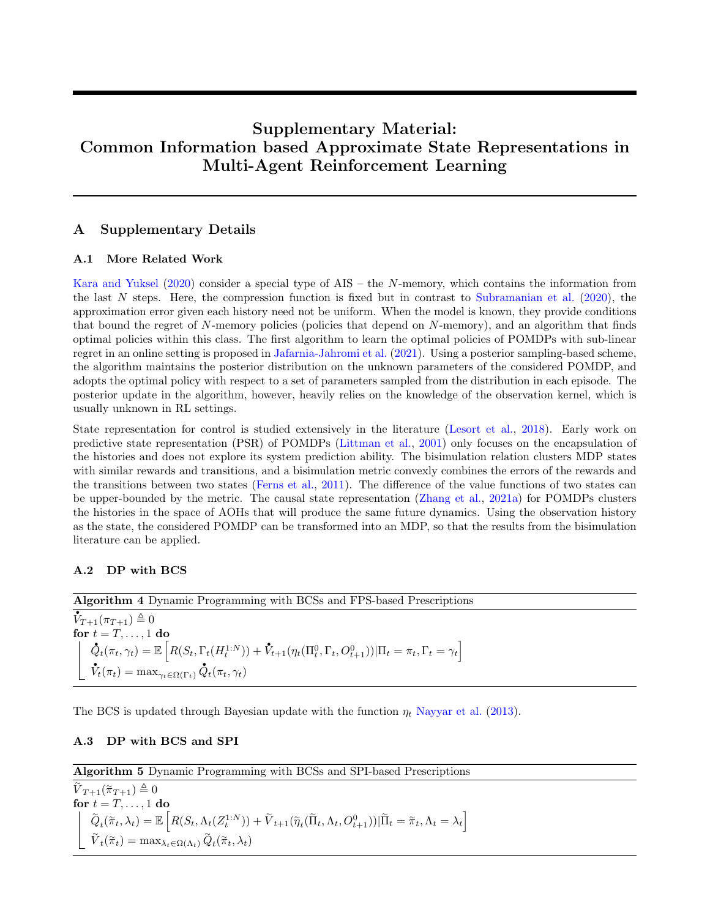# Supplementary Material: Common Information based Approximate State Representations in Multi-Agent Reinforcement Learning

# A Supplementary Details

### A.1 More Related Work

[Kara and Yuksel](#page-9-20) [\(2020\)](#page-9-20) consider a special type of AIS – the N-memory, which contains the information from the last N steps. Here, the compression function is fixed but in contrast to [Subramanian et al.](#page-9-5)  $(2020)$ , the approximation error given each history need not be uniform. When the model is known, they provide conditions that bound the regret of N-memory policies (policies that depend on N-memory), and an algorithm that finds optimal policies within this class. The first algorithm to learn the optimal policies of POMDPs with sub-linear regret in an online setting is proposed in [Jafarnia-Jahromi et al.](#page-9-21) [\(2021\)](#page-9-21). Using a posterior sampling-based scheme, the algorithm maintains the posterior distribution on the unknown parameters of the considered POMDP, and adopts the optimal policy with respect to a set of parameters sampled from the distribution in each episode. The posterior update in the algorithm, however, heavily relies on the knowledge of the observation kernel, which is usually unknown in RL settings.

State representation for control is studied extensively in the literature [\(Lesort et al.,](#page-9-22) [2018\)](#page-9-22). Early work on predictive state representation (PSR) of POMDPs [\(Littman et al.,](#page-9-23) [2001\)](#page-9-23) only focuses on the encapsulation of the histories and does not explore its system prediction ability. The bisimulation relation clusters MDP states with similar rewards and transitions, and a bisimulation metric convexly combines the errors of the rewards and the transitions between two states [\(Ferns et al.,](#page-9-24) [2011\)](#page-9-24). The difference of the value functions of two states can be upper-bounded by the metric. The causal state representation [\(Zhang et al.,](#page-9-25) [2021a\)](#page-9-25) for POMDPs clusters the histories in the space of AOHs that will produce the same future dynamics. Using the observation history as the state, the considered POMDP can be transformed into an MDP, so that the results from the bisimulation literature can be applied.

# <span id="page-10-0"></span>A.2 DP with BCS

<span id="page-10-2"></span>Algorithm 4 Dynamic Programming with BCSs and FPS-based Prescriptions

Algorithm 4 L<br> $\vec{V}_{T+1}(\pi_{T+1}) \triangleq 0$ for  $t = T, \ldots, 1$  do  $\begin{aligned} t &= T, \ldots, 1 \textbf{ do} \ \tilde{Q}_t(\pi_t, \gamma_t) = \mathbb{E} \left[ R(S_t, \Gamma_t(H_t^{1:N})) + \tilde{V}_{t+1}(\eta_t(\Pi_t^0, \Gamma_t, O_{t+1}^0)) | \Pi_t = \pi_t, \Gamma_t = \gamma_t \right] \end{aligned}$ رب<br>م  $V_t(\pi_t) = \max_{\gamma_t \in \Omega(\Gamma_t)}$  $\mathcal{\dot{Q}}_{t}(\pi_{t},\gamma_{t})$ 

The BCS is updated through Bayesian update with the function  $\eta_t$  [Nayyar et al.](#page-9-1) [\(2013\)](#page-9-1).

# <span id="page-10-1"></span>A.3 DP with BCS and SPI

<span id="page-10-3"></span>Algorithm 5 Dynamic Programming with BCSs and SPI-based Prescriptions

 $\widetilde{V}_{T+1}(\widetilde{\pi}_{T+1}) \triangleq 0$ for  $t = T, \ldots, 1$  do  $\widetilde{Q}$  $\mathcal{L}_t(\widetilde{\pi}_t, \lambda_t) = \mathbb{E}\left[R(S_t, \Lambda_t(Z^{1:N}_t)) + \widetilde{V}_{t+1}(\widetilde{\eta}_t(\widetilde{\Pi}_t, \Lambda_t, O^0_{t+1})) | \widetilde{\Pi}_t = \widetilde{\pi}_t, \Lambda_t = \lambda_t\right]$  $\widetilde{V}_t(\widetilde{\pi}_t) = \max_{\lambda_t \in \Omega(\Lambda_t)} \widetilde{Q}$  $_{t}(\tilde{\pi}_t, \lambda_t)$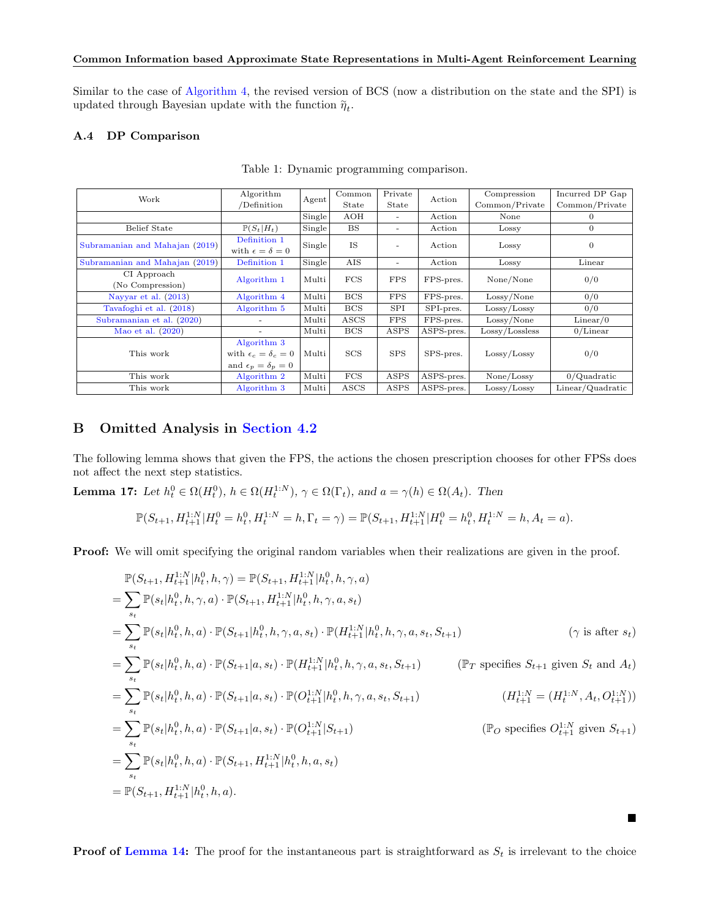Similar to the case of [Algorithm 4,](#page-10-2) the revised version of BCS (now a distribution on the state and the SPI) is updated through Bayesian update with the function  $\widetilde{\eta}_t.$ 

# <span id="page-11-0"></span>A.4 DP Comparison

| Work                           | Algorithm                        | Agent  | Common     | Private        | Action     | Compression    | Incurred DP Gap  |
|--------------------------------|----------------------------------|--------|------------|----------------|------------|----------------|------------------|
|                                | /Definition                      |        | State      | State          |            | Common/Private | Common/Private   |
|                                |                                  | Single | AOH        | ۰              | Action     | None           | $\Omega$         |
| <b>Belief State</b>            | $\mathbb{P}(S_t H_t)$            | Single | <b>BS</b>  | ٠              | Action     | Lossy          | $\theta$         |
| Subramanian and Mahajan (2019) | Definition 1                     | Single | <b>IS</b>  | $\overline{a}$ | Action     | Lossy          | $\theta$         |
|                                | with $\epsilon = \delta = 0$     |        |            |                |            |                |                  |
| Subramanian and Mahajan (2019) | Definition 1                     | Single | AIS        | ٠              | Action     | Lossy          | Linear           |
| CI Approach                    | Algorithm 1                      | Multi  | FCS        | <b>FPS</b>     | FPS-pres.  | None/None      | 0/0              |
| (No Compression)               |                                  |        |            |                |            |                |                  |
| Nayyar et al. (2013)           | Algorithm 4                      | Multi  | <b>BCS</b> | <b>FPS</b>     | FPS-pres.  | Lossy/None     | 0/0              |
| Tavafoghi et al. (2018)        | Algorithm 5                      | Multi  | <b>BCS</b> | SPI            | SPI-pres.  | Lossy / Lossy  | 0/0              |
| Subramanian et al. (2020)      |                                  | Multi  | ASCS       | <b>FPS</b>     | FPS-pres.  | Lossy/None     | Linear/0         |
| Mao et al. $(2020)$            | $\overline{\phantom{a}}$         | Multi  | <b>BCS</b> | ASPS           | ASPS-pres. | Lossy/Lossless | $0/L$ inear      |
|                                | Algorithm 3                      |        |            |                |            |                |                  |
| This work                      | with $\epsilon_c = \delta_c = 0$ | Multi  | <b>SCS</b> | <b>SPS</b>     | SPS-pres.  | Lossy / Lossy  | 0/0              |
|                                | and $\epsilon_p = \delta_p = 0$  |        |            |                |            |                |                  |
| This work                      | Algorithm 2                      | Multi  | <b>FCS</b> | ASPS           | ASPS-pres. | None/Lossy     | $0$ /Quadratic   |
| This work                      | Algorithm 3                      | Multi  | ASCS       | ASPS           | ASPS-pres. | Lossy / Lossy  | Linear/Quadratic |

Table 1: Dynamic programming comparison.

# <span id="page-11-1"></span>B Omitted Analysis in [Section 4.2](#page-6-1)

The following lemma shows that given the FPS, the actions the chosen prescription chooses for other FPSs does not affect the next step statistics.

<span id="page-11-2"></span>**Lemma 17:** Let  $h_t^0 \in \Omega(H_t^0)$ ,  $h \in \Omega(H_t^{1:N})$ ,  $\gamma \in \Omega(\Gamma_t)$ , and  $a = \gamma(h) \in \Omega(A_t)$ . Then

$$
\mathbb{P}(S_{t+1},H_{t+1}^{1:N}|H_t^0=h_t^0,H_t^{1:N}=h,\Gamma_t=\gamma)=\mathbb{P}(S_{t+1},H_{t+1}^{1:N}|H_t^0=h_t^0,H_t^{1:N}=h,A_t=a).
$$

Proof: We will omit specifying the original random variables when their realizations are given in the proof.

$$
\mathbb{P}(S_{t+1}, H_{t+1}^{1:N}|h_t^0, h, \gamma) = \mathbb{P}(S_{t+1}, H_{t+1}^{1:N}|h_t^0, h, \gamma, a)
$$
\n
$$
= \sum_{s_t} \mathbb{P}(s_t | h_t^0, h, \gamma, a) \cdot \mathbb{P}(S_{t+1}, H_{t+1}^{1:N}|h_t^0, h, \gamma, a, s_t)
$$
\n
$$
= \sum_{s_t} \mathbb{P}(s_t | h_t^0, h, a) \cdot \mathbb{P}(S_{t+1}|h_t^0, h, \gamma, a, s_t) \cdot \mathbb{P}(H_{t+1}^{1:N}|h_t^0, h, \gamma, a, s_t, S_{t+1}) \qquad (\gamma \text{ is after } s_t)
$$
\n
$$
= \sum_{s_t} \mathbb{P}(s_t | h_t^0, h, a) \cdot \mathbb{P}(S_{t+1}|a, s_t) \cdot \mathbb{P}(H_{t+1}^{1:N}|h_t^0, h, \gamma, a, s_t, S_{t+1}) \qquad (\mathbb{P}_T \text{ specifies } S_{t+1} \text{ given } S_t \text{ and } A_t)
$$
\n
$$
= \sum_{s_t} \mathbb{P}(s_t | h_t^0, h, a) \cdot \mathbb{P}(S_{t+1}|a, s_t) \cdot \mathbb{P}(O_{t+1}^{1:N}|h_t^0, h, \gamma, a, s_t, S_{t+1}) \qquad (H_{t+1}^{1:N} = (H_t^{1:N}, A_t, O_{t+1}^{1:N}))
$$
\n
$$
= \sum_{s_t} \mathbb{P}(s_t | h_t^0, h, a) \cdot \mathbb{P}(S_{t+1}|a, s_t) \cdot \mathbb{P}(O_{t+1}^{1:N}|S_{t+1}) \qquad (\mathbb{P}_O \text{ specifies } O_{t+1}^{1:N} \text{ given } S_{t+1})
$$
\n
$$
= \sum_{s_t} \mathbb{P}(s_t | h_t^0, h, a) \cdot \mathbb{P}(S_{t+1}, H_{t+1}^{1:N}|h_t^0, h, a, s_t)
$$
\n
$$
= \mathbb{P}(S_{t+1}, H_{t+1}^{1:N}|h_t^0, h, a).
$$

**Proof of [Lemma 14:](#page-7-0)** The proof for the instantaneous part is straightforward as  $S_t$  is irrelevant to the choice

 $\blacksquare$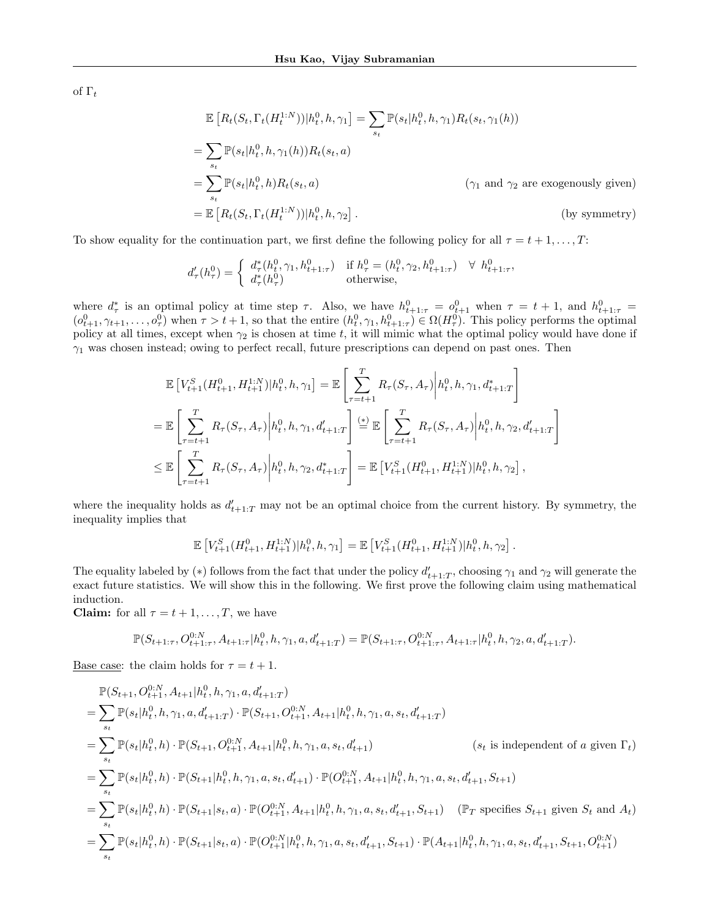of  $\Gamma_t$ 

$$
\mathbb{E}\left[R_t(S_t, \Gamma_t(H_t^{1:N}))|h_t^0, h, \gamma_1\right] = \sum_{s_t} \mathbb{P}(s_t|h_t^0, h, \gamma_1) R_t(s_t, \gamma_1(h))
$$
\n
$$
= \sum_{s_t} \mathbb{P}(s_t|h_t^0, h, \gamma_1(h)) R_t(s_t, a)
$$
\n
$$
= \sum_{s_t} \mathbb{P}(s_t|h_t^0, h) R_t(s_t, a) \qquad (\gamma_1 \text{ and } \gamma_2 \text{ are exogenously given})
$$
\n
$$
= \mathbb{E}\left[R_t(S_t, \Gamma_t(H_t^{1:N}))|h_t^0, h, \gamma_2\right]. \qquad \text{(by symmetry)}
$$

To show equality for the continuation part, we first define the following policy for all  $\tau = t + 1, \ldots, T$ :

$$
d'_{\tau}(h^{0}_{\tau}) = \begin{cases} d^{*}_{\tau}(h^{0}_{t}, \gamma_{1}, h^{0}_{t+1:\tau}) & \text{if } h^{0}_{\tau} = (h^{0}_{t}, \gamma_{2}, h^{0}_{t+1:\tau}) \quad \forall \ h^{0}_{t+1:\tau}, \\ d^{*}_{\tau}(h^{0}_{\tau}) & \text{otherwise}, \end{cases}
$$

where  $d^*_{\tau}$  is an optimal policy at time step  $\tau$ . Also, we have  $h_{t+1:\tau}^0 = o_{t+1}^0$  when  $\tau = t+1$ , and  $h_{t+1:\tau}^0 =$  $(o_{t+1}^0, \gamma_{t+1}, \ldots, o_{\tau}^0)$  when  $\tau > t+1$ , so that the entire  $(h_t^0, \gamma_1, h_{t+1:\tau}^0) \in \Omega(H_{\tau}^0)$ . This policy performs the optimal policy at all times, except when  $\gamma_2$  is chosen at time t, it will mimic what the optimal policy would have done if  $\gamma_1$  was chosen instead; owing to perfect recall, future prescriptions can depend on past ones. Then

$$
\mathbb{E}\left[V_{t+1}^{S}(H_{t+1}^{0}, H_{t+1}^{1:N})|h_{t}^{0}, h, \gamma_{1}\right] = \mathbb{E}\left[\sum_{\tau=t+1}^{T} R_{\tau}(S_{\tau}, A_{\tau})\bigg| h_{t}^{0}, h, \gamma_{1}, d_{t+1:T}^{*}\right]
$$
\n
$$
= \mathbb{E}\left[\sum_{\tau=t+1}^{T} R_{\tau}(S_{\tau}, A_{\tau})\bigg| h_{t}^{0}, h, \gamma_{1}, d_{t+1:T}^{\prime}\right] \stackrel{\text{(*)}}{=} \mathbb{E}\left[\sum_{\tau=t+1}^{T} R_{\tau}(S_{\tau}, A_{\tau})\bigg| h_{t}^{0}, h, \gamma_{2}, d_{t+1:T}^{\prime}\right]
$$
\n
$$
\leq \mathbb{E}\left[\sum_{\tau=t+1}^{T} R_{\tau}(S_{\tau}, A_{\tau})\bigg| h_{t}^{0}, h, \gamma_{2}, d_{t+1:T}^{*}\right] = \mathbb{E}\left[V_{t+1}^{S}(H_{t+1}^{0}, H_{t+1}^{1:N})| h_{t}^{0}, h, \gamma_{2}\right],
$$

where the inequality holds as  $d'_{t+1:T}$  may not be an optimal choice from the current history. By symmetry, the inequality implies that

$$
\mathbb{E}\left[V_{t+1}^S(H_{t+1}^0,H_{t+1}^{1:N})|h_t^0,h,\gamma_1\right] = \mathbb{E}\left[V_{t+1}^S(H_{t+1}^0,H_{t+1}^{1:N})|h_t^0,h,\gamma_2\right].
$$

The equality labeled by (\*) follows from the fact that under the policy  $d'_{t+1:T}$ , choosing  $\gamma_1$  and  $\gamma_2$  will generate the exact future statistics. We will show this in the following. We first prove the following claim using mathematical induction.

**Claim:** for all  $\tau = t + 1, \ldots, T$ , we have

$$
\mathbb{P}(S_{t+1:\tau}, O_{t+1:\tau}^{0:N}, A_{t+1:\tau} | h_t^0, h, \gamma_1, a, d'_{t+1:T}) = \mathbb{P}(S_{t+1:\tau}, O_{t+1:\tau}^{0:N}, A_{t+1:\tau} | h_t^0, h, \gamma_2, a, d'_{t+1:T}).
$$

Base case: the claim holds for  $\tau = t + 1$ .

$$
\mathbb{P}(S_{t+1}, O_{t+1}^{0:N}, A_{t+1}|h_t^0, h, \gamma_1, a, d'_{t+1:T})
$$
\n
$$
= \sum_{s_t} \mathbb{P}(s_t|h_t^0, h, \gamma_1, a, d'_{t+1:T}) \cdot \mathbb{P}(S_{t+1}, O_{t+1}^{0:N}, A_{t+1}|h_t^0, h, \gamma_1, a, s_t, d'_{t+1:T})
$$
\n
$$
= \sum_{s_t} \mathbb{P}(s_t|h_t^0, h) \cdot \mathbb{P}(S_{t+1}, O_{t+1}^{0:N}, A_{t+1}|h_t^0, h, \gamma_1, a, s_t, d'_{t+1})
$$
\n
$$
= \sum_{s_t} \mathbb{P}(s_t|h_t^0, h) \cdot \mathbb{P}(S_{t+1}|h_t^0, h, \gamma_1, a, s_t, d'_{t+1}) \cdot \mathbb{P}(O_{t+1}^{0:N}, A_{t+1}|h_t^0, h, \gamma_1, a, s_t, d'_{t+1}, S_{t+1})
$$
\n
$$
= \sum_{s_t} \mathbb{P}(s_t|h_t^0, h) \cdot \mathbb{P}(S_{t+1}|s_t, a) \cdot \mathbb{P}(O_{t+1}^{0:N}, A_{t+1}|h_t^0, h, \gamma_1, a, s_t, d'_{t+1}, S_{t+1})
$$
\n
$$
= \sum_{s_t} \mathbb{P}(s_t|h_t^0, h) \cdot \mathbb{P}(S_{t+1}|s_t, a) \cdot \mathbb{P}(O_{t+1}^{0:N}|h_t^0, h, \gamma_1, a, s_t, d'_{t+1}, S_{t+1}) \cdot \mathbb{P}(A_{t+1}|h_t^0, h, \gamma_1, a, s_t, d'_{t+1}, S_{t+1}, O_{t+1}^{0:N})
$$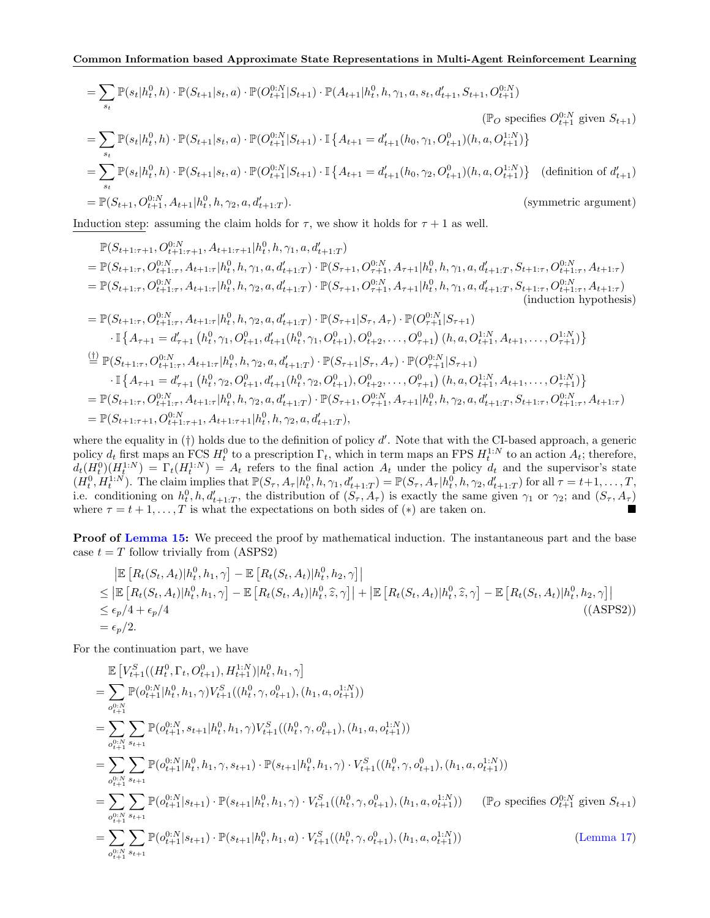$$
= \sum_{s_t} \mathbb{P}(s_t|h_t^0, h) \cdot \mathbb{P}(S_{t+1}|s_t, a) \cdot \mathbb{P}(O_{t+1}^{0:N}|S_{t+1}) \cdot \mathbb{P}(A_{t+1}|h_t^0, h, \gamma_1, a, s_t, d'_{t+1}, S_{t+1}, O_{t+1}^{0:N})
$$
\n
$$
= \sum_{s_t} \mathbb{P}(s_t|h_t^0, h) \cdot \mathbb{P}(S_{t+1}|s_t, a) \cdot \mathbb{P}(O_{t+1}^{0:N}|S_{t+1}) \cdot \mathbb{I} \{A_{t+1} = d'_{t+1}(h_0, \gamma_1, O_{t+1}^0)(h, a, O_{t+1}^{1:N})\}
$$
\n
$$
= \sum_{s_t} \mathbb{P}(s_t|h_t^0, h) \cdot \mathbb{P}(S_{t+1}|s_t, a) \cdot \mathbb{P}(O_{t+1}^{0:N}|S_{t+1}) \cdot \mathbb{I} \{A_{t+1} = d'_{t+1}(h_0, \gamma_2, O_{t+1}^0)(h, a, O_{t+1}^{1:N})\} \quad \text{(definition of } d'_{t+1})
$$
\n
$$
= \mathbb{P}(S_{t+1}, O_{t+1}^{0:N}, A_{t+1}|h_t^0, h, \gamma_2, a, d'_{t+1:T}). \quad \text{(symmetric argument)}
$$

Induction step: assuming the claim holds for  $\tau$ , we show it holds for  $\tau + 1$  as well.

$$
\mathbb{P}(S_{t+1:\tau+1}, O_{t+1:\tau+1}^{0:N}, A_{t+1:\tau+1}|h_t^0, h, \gamma_1, a, d'_{t+1:T})
$$
\n
$$
= \mathbb{P}(S_{t+1:\tau}, O_{t+1:\tau}^{0:N}, A_{t+1:\tau}|h_t^0, h, \gamma_1, a, d'_{t+1:T}) \cdot \mathbb{P}(S_{\tau+1}, O_{\tau+1}^{0:N}, A_{\tau+1}|h_t^0, h, \gamma_1, a, d'_{t+1:T}, S_{t+1:\tau}, O_{t+1:\tau}^{0:N}, A_{t+1:\tau})
$$
\n
$$
= \mathbb{P}(S_{t+1:\tau}, O_{t+1:\tau}^{0:N}, A_{t+1:\tau}|h_t^0, h, \gamma_2, a, d'_{t+1:T}) \cdot \mathbb{P}(S_{\tau+1}, O_{\tau+1}^{0:N}, A_{\tau+1}|h_t^0, h, \gamma_1, a, d'_{t+1:T}, S_{t+1:\tau}, O_{t+1:\tau}^{0:N}, A_{t+1:\tau})
$$
\n(induction hypothesis)\n
$$
= \mathbb{P}(S_{t+1:\tau}, O_{t+1:\tau}^{0:N}, A_{t+1:\tau}|h_t^0, h, \gamma_2, a, d'_{t+1:T}) \cdot \mathbb{P}(S_{\tau+1}|S_{\tau}, A_{\tau}) \cdot \mathbb{P}(O_{\tau+1}^{0:N}|S_{\tau+1})
$$
\n
$$
\cdot \mathbb{I}\left\{A_{\tau+1} = d'_{\tau+1} (h_t^0, \gamma_1, O_{t+1}^0, d'_{t+1}(h_t^0, \gamma_1, O_{t+1}^0), O_{t+2}^0, \dots, O_{\tau+1}^0) (h, a, O_{t+1}^{1:N}, A_{t+1}, \dots, O_{\tau+1}^{1:N})\right\}
$$
\n
$$
\stackrel{\text{(i)}{\pm}}{=} \mathbb{P}(S_{t+1:\tau}, O_{t+1:\tau}^{0:N}, A_{t+1:\tau}|h_t^0, h, \gamma_2, a, d'_{t+1:T}) \cdot \mathbb{P}(S_{\tau+1}|S_{\tau}, A_{\tau}) \cdot \mathbb{P}(O_{\tau+1}^{0:N}|S_{\tau+1})
$$
\n

where the equality in  $(\dagger)$  holds due to the definition of policy d'. Note that with the CI-based approach, a generic policy  $d_t$  first maps an FCS  $H_t^0$  to a prescription  $\Gamma_t$ , which in term maps an FPS  $H_t^{1:N}$  to an action  $A_t$ ; therefore,  $d_t(H_t^0)(H_t^{1:N}) = \Gamma_t(H_t^{1:N}) = A_t$  refers to the final action  $A_t$  under the policy  $d_t$  and the supervisor's state  $(H_t^0, H_t^{1:N})$ . The claim implies that  $\mathbb{P}(S_\tau, A_\tau | h_t^0, h, \gamma_1, d'_{t+1:T}) = \mathbb{P}(S_\tau, A_\tau | h_t^0, h, \gamma_2, d'_{t+1:T})$  for all  $\tau = t+1, \ldots, T$ , i.e. conditioning on  $h_t^0, h, d'_{t+1:T}$ , the distribution of  $(S_\tau, A_\tau)$  is exactly the same given  $\gamma_1$  or  $\gamma_2$ ; and  $(S_\tau, A_\tau)$ where  $\tau = t + 1, \ldots, T$  is what the expectations on both sides of  $(*)$  are taken on.

**Proof of [Lemma 15:](#page-7-5)** We preceed the proof by mathematical induction. The instantaneous part and the base case  $t = T$  follow trivially from (ASPS2)

$$
\begin{split} & \left| \mathbb{E} \left[ R_t(S_t, A_t) | h_t^0, h_1, \gamma \right] - \mathbb{E} \left[ R_t(S_t, A_t) | h_t^0, h_2, \gamma \right] \right| \\ &\leq \left| \mathbb{E} \left[ R_t(S_t, A_t) | h_t^0, h_1, \gamma \right] - \mathbb{E} \left[ R_t(S_t, A_t) | h_t^0, \widehat{z}, \gamma \right] \right| + \left| \mathbb{E} \left[ R_t(S_t, A_t) | h_t^0, \widehat{z}, \gamma \right] - \mathbb{E} \left[ R_t(S_t, A_t) | h_t^0, h_2, \gamma \right] \right| \\ &\leq \epsilon_p/4 + \epsilon_p/4 \end{split} \tag{ASPS2)}
$$
\n
$$
= \epsilon_p/2.
$$

For the continuation part, we have

$$
\mathbb{E}\left[V_{t+1}^{S}((H_{t}^{0},\Gamma_{t},O_{t+1}^{0}),H_{t+1}^{1:N})|h_{t}^{0},h_{1},\gamma\right]
$$
\n
$$
=\sum_{o_{t+1}^{0:N}}\mathbb{P}(o_{t+1}^{0:N}|h_{t}^{0},h_{1},\gamma)V_{t+1}^{S}((h_{t}^{0},\gamma,o_{t+1}^{0}),(h_{1},a,o_{t+1}^{1:N}))
$$
\n
$$
=\sum_{o_{t+1}^{0:N}}\sum_{s_{t+1}}\mathbb{P}(o_{t+1}^{0:N},s_{t+1}|h_{t}^{0},h_{1},\gamma)V_{t+1}^{S}((h_{t}^{0},\gamma,o_{t+1}^{0}),(h_{1},a,o_{t+1}^{1:N}))
$$
\n
$$
=\sum_{o_{t+1}^{0:N}}\sum_{s_{t+1}}\mathbb{P}(o_{t+1}^{0:N}|h_{t}^{0},h_{1},\gamma,s_{t+1})\cdot\mathbb{P}(s_{t+1}|h_{t}^{0},h_{1},\gamma)\cdot V_{t+1}^{S}((h_{t}^{0},\gamma,o_{t+1}^{0}),(h_{1},a,o_{t+1}^{1:N}))
$$
\n
$$
=\sum_{o_{t+1}^{0:N}}\sum_{s_{t+1}}\mathbb{P}(o_{t+1}^{0:N}|s_{t+1})\cdot\mathbb{P}(s_{t+1}|h_{t}^{0},h_{1},\gamma)\cdot V_{t+1}^{S}((h_{t}^{0},\gamma,o_{t+1}^{0}),(h_{1},a,o_{t+1}^{1:N})) \qquad (\mathbb{P}_{O}\text{ specifies }O_{t+1}^{0:N}\text{ given }S_{t+1})
$$
\n
$$
=\sum_{o_{t+1}^{0:N}}\sum_{s_{t+1}}\mathbb{P}(o_{t+1}^{0:N}|s_{t+1})\cdot\mathbb{P}(s_{t+1}|h_{t}^{0},h_{1},a)\cdot V_{t+1}^{S}((h_{t}^{0},\gamma,o_{t+1}^{0}),(h_{1},a,o_{t+1}^{1:N})) \qquad \text{(Lemma 17)}
$$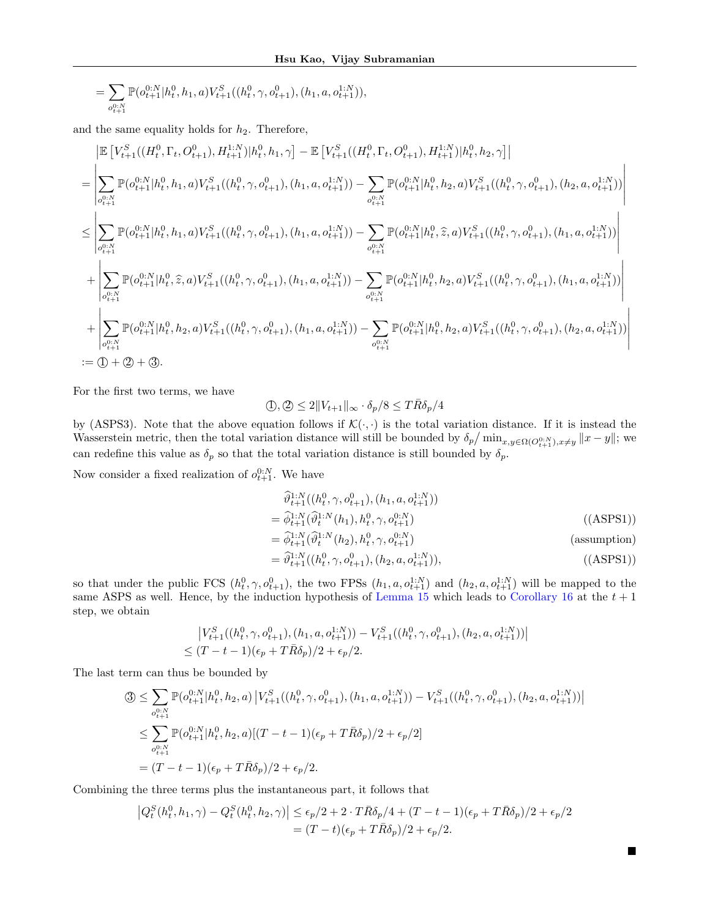$$
=\sum_{o_{t+1}^{0:N}}{\mathbb P}(o_{t+1}^{0:N}|h_t^0,h_1,a)V_{t+1}^S((h_t^0,\gamma,o_{t+1}^0),(h_1,a,o_{t+1}^{1:N})),
$$

and the same equality holds for  $h_2$ . Therefore,

$$
\begin{split} &\mathbb{E}\left[V_{t+1}^{S}((H_t^0,\Gamma_t,O_{t+1}^0),H_{t+1}^{1:N})|h_t^0,h_1,\gamma\right]-\mathbb{E}\left[V_{t+1}^{S}((H_t^0,\Gamma_t,O_{t+1}^0),H_{t+1}^{1:N})|h_t^0,h_2,\gamma\right] \\ &=\left|\sum_{o_{t+1}^{0:N}}\mathbb{P}(o_{t+1}^{0:N}|h_t^0,h_1,a)V_{t+1}^{S}((h_t^0,\gamma,o_{t+1}^0),(h_1,a,o_{t+1}^{1:N}))-\sum_{o_{t+1}^{0:N}}\mathbb{P}(o_{t+1}^{0:N}|h_t^0,h_2,a)V_{t+1}^{S}((h_t^0,\gamma,o_{t+1}^0),(h_2,a,o_{t+1}^{1:N}))\right| \\ &\leq \left|\sum_{o_{t+1}^{0:N}}\mathbb{P}(o_{t+1}^{0:N}|h_t^0,h_1,a)V_{t+1}^{S}((h_t^0,\gamma,o_{t+1}^0),(h_1,a,o_{t+1}^{1:N}))-\sum_{o_{t+1}^{0:N}}\mathbb{P}(o_{t+1}^{0:N}|h_t^0,\hat{z},a)V_{t+1}^{S}((h_t^0,\gamma,o_{t+1}^0),(h_1,a,o_{t+1}^{1:N}))\right| \\ &+\left|\sum_{o_{t+1}^{0:N}}\mathbb{P}(o_{t+1}^{0:N}|h_t^0,\hat{z},a)V_{t+1}^{S}((h_t^0,\gamma,o_{t+1}^0),(h_1,a,o_{t+1}^{1:N}))-\sum_{o_{t+1}^{0:N}}\mathbb{P}(o_{t+1}^{0:N}|h_t^0,h_2,a)V_{t+1}^{S}((h_t^0,\gamma,o_{t+1}^0),(h_1,a,o_{t+1}^{1:N}))\right| \\ &+\left|\sum_{o_{t+1}^{0:N}}\mathbb{P}(o_{t+1}^{0:N}|h_t^0,h_2,a)V_{t+1}^{S}((h_t^0,\gamma,o_{t+1}^0),(h_1,a,o_{t+1}^{1:N}))-\sum_{o_{t+1}^{0:N}}\mathbb{P}(o_{t+1}^{0:N}|h_t^0,h_2,a)V_{t+1}^{S}((h_t^0,\gamma,o_{t+1}^0),(h_2,a,o_{t+1}^{1:N}))\right
$$

For the first two terms, we have

$$
\langle 0, \langle 2 \rangle \le 2 \| V_{t+1} \|_{\infty} \cdot \delta_p / 8 \le T \bar{R} \delta_p / 4
$$

by (ASPS3). Note that the above equation follows if  $\mathcal{K}(\cdot, \cdot)$  is the total variation distance. If it is instead the Wasserstein metric, then the total variation distance will still be bounded by  $\delta_p/\min_{x,y\in\Omega(O_{t+1}^{0.0},x\neq y}||x-y||$ ; we can redefine this value as  $\delta_p$  so that the total variation distance is still bounded by  $\delta_p$ .

Now consider a fixed realization of  $o_{t+1}^{0:N}$ . We have

$$
\begin{aligned}\n\widehat{\vartheta}_{t+1}^{1:N}((h_t^0, \gamma, o_{t+1}^0), (h_1, a, o_{t+1}^{1:N})) \\
= \widehat{\varphi}_{t+1}^{1:N}(\widehat{\vartheta}_t^{1:N}(h_1), h_t^0, \gamma, o_{t+1}^{0:N})\n\end{aligned} \tag{ (ASPS1)}
$$

$$
= \widehat{\phi}_{t+1}^{1:N}(\widehat{\theta}_t^{1:N}(h_2), h_t^0, \gamma, o_{t+1}^{0:N})
$$
 (assumption)

$$
= \widehat{\vartheta}_{t+1}^{1:N}((h_t^0, \gamma, o_{t+1}^0), (h_2, a, o_{t+1}^{1:N})), \tag{(ASPS1)}
$$

 $\blacksquare$ 

so that under the public FCS  $(h_t^0, \gamma, o_{t+1}^0)$ , the two FPSs  $(h_1, a, o_{t+1}^{1:N})$  and  $(h_2, a, o_{t+1}^{1:N})$  will be mapped to the same ASPS as well. Hence, by the induction hypothesis of [Lemma 15](#page-7-5) which leads to [Corollary 16](#page-7-4) at the  $t + 1$ step, we obtain

$$
\begin{aligned} &\left|V_{t+1}^S((h_t^0,\gamma,o_{t+1}^0),(h_1,a,o_{t+1}^{1:N})) - V_{t+1}^S((h_t^0,\gamma,o_{t+1}^0),(h_2,a,o_{t+1}^{1:N}))\right|\\ &\leq (T-t-1)(\epsilon_p+T\bar{R}\delta_p)/2+\epsilon_p/2. \end{aligned}
$$

The last term can thus be bounded by

$$
\begin{split} \mathfrak{D} &\leq \sum_{o_{t+1}^{0:N}} \mathbb{P}(o_{t+1}^{0:N}|h_t^0, h_2, a) \left| V_{t+1}^S((h_t^0, \gamma, o_{t+1}^0), (h_1, a, o_{t+1}^{1:N})) - V_{t+1}^S((h_t^0, \gamma, o_{t+1}^0), (h_2, a, o_{t+1}^{1:N})) \right| \\ &\leq \sum_{o_{t+1}^{0:N}} \mathbb{P}(o_{t+1}^{0:N}|h_t^0, h_2, a) [(T - t - 1)(\epsilon_p + T\bar{R}\delta_p)/2 + \epsilon_p/2] \\ &= (T - t - 1)(\epsilon_p + T\bar{R}\delta_p)/2 + \epsilon_p/2. \end{split}
$$

Combining the three terms plus the instantaneous part, it follows that

$$
\left|Q_t^S(h_t^0, h_1, \gamma) - Q_t^S(h_t^0, h_2, \gamma)\right| \le \epsilon_p/2 + 2 \cdot T \bar{R} \delta_p/4 + (T - t - 1)(\epsilon_p + T \bar{R} \delta_p)/2 + \epsilon_p/2
$$
  
=  $(T - t)(\epsilon_p + T \bar{R} \delta_p)/2 + \epsilon_p/2$ .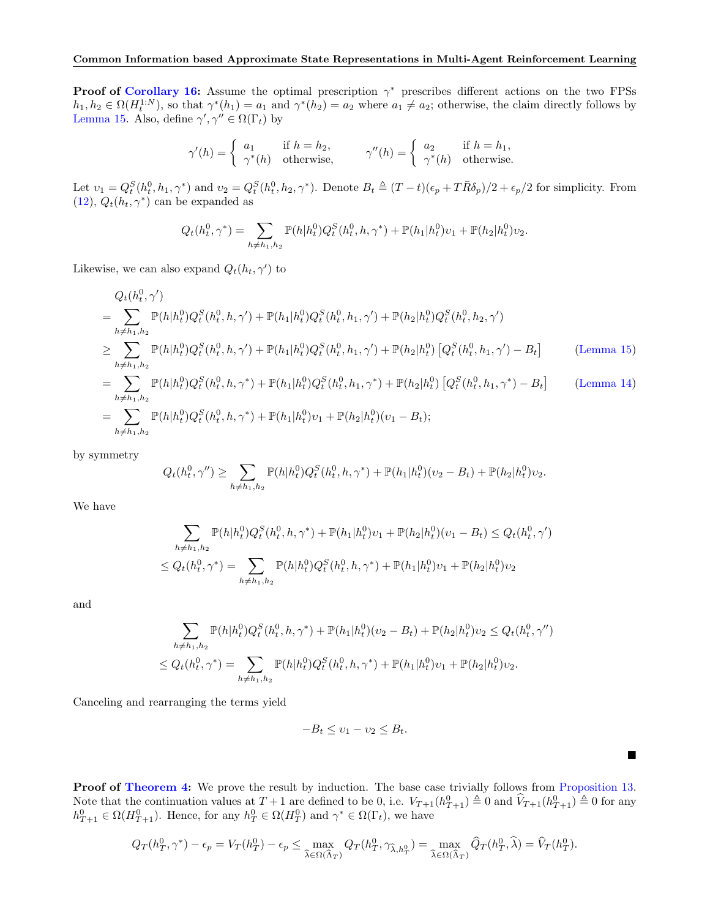**Proof of [Corollary 16:](#page-7-4)** Assume the optimal prescription  $\gamma^*$  prescribes different actions on the two FPSs  $h_1, h_2 \in \Omega(H_t^{1:N})$ , so that  $\gamma^*(h_1) = a_1$  and  $\gamma^*(h_2) = a_2$  where  $a_1 \neq a_2$ ; otherwise, the claim directly follows by [Lemma 15.](#page-7-5) Also, define  $\gamma', \gamma'' \in \Omega(\Gamma_t)$  by

$$
\gamma'(h) = \begin{cases} a_1 & \text{if } h = h_2, \\ \gamma^*(h) & \text{otherwise,} \end{cases} \qquad \gamma''(h) = \begin{cases} a_2 & \text{if } h = h_1, \\ \gamma^*(h) & \text{otherwise.} \end{cases}
$$

Let  $v_1 = Q_t^S(h_t^0, h_1, \gamma^*)$  and  $v_2 = Q_t^S(h_t^0, h_2, \gamma^*)$ . Denote  $B_t \triangleq (T-t)(\epsilon_p + T\overline{R}\delta_p)/2 + \epsilon_p/2$  for simplicity. From [\(12\)](#page-6-3),  $Q_t(h_t, \gamma^*)$  can be expanded as

$$
Q_t(h_t^0, \gamma^*) = \sum_{h \neq h_1, h_2} \mathbb{P}(h|h_t^0) Q_t^S(h_t^0, h, \gamma^*) + \mathbb{P}(h_1|h_t^0) v_1 + \mathbb{P}(h_2|h_t^0) v_2.
$$

Likewise, we can also expand  $Q_t(h_t, \gamma')$  to

$$
Q_{t}(h_{t}^{0},\gamma')
$$
  
= 
$$
\sum_{h \neq h_{1},h_{2}} \mathbb{P}(h|h_{t}^{0})Q_{t}^{S}(h_{t}^{0},h,\gamma') + \mathbb{P}(h_{1}|h_{t}^{0})Q_{t}^{S}(h_{t}^{0},h_{1},\gamma') + \mathbb{P}(h_{2}|h_{t}^{0})Q_{t}^{S}(h_{t}^{0},h_{2},\gamma')
$$
  

$$
\geq \sum_{h \neq h_{1},h_{2}} \mathbb{P}(h|h_{t}^{0})Q_{t}^{S}(h_{t}^{0},h,\gamma') + \mathbb{P}(h_{1}|h_{t}^{0})Q_{t}^{S}(h_{t}^{0},h_{1},\gamma') + \mathbb{P}(h_{2}|h_{t}^{0})[Q_{t}^{S}(h_{t}^{0},h_{1},\gamma') - B_{t}] \qquad \text{(Lemma 15)}
$$
  

$$
= \sum_{h \neq h_{1},h_{2}} \mathbb{P}(h|h_{t}^{0})Q_{t}^{S}(h_{t}^{0},h,\gamma^{*}) + \mathbb{P}(h_{1}|h_{t}^{0})Q_{t}^{S}(h_{t}^{0},h_{1},\gamma^{*}) + \mathbb{P}(h_{2}|h_{t}^{0})[Q_{t}^{S}(h_{t}^{0},h_{1},\gamma^{*}) - B_{t}] \qquad \text{(Lemma 14)}
$$

$$
= \sum_{h \neq h_1, h_2}^{h \neq h_1, h_2} \mathbb{P}(h|h_t^0) Q_t^S(h_t^0, h, \gamma^*) + \mathbb{P}(h_1|h_t^0) v_1 + \mathbb{P}(h_2|h_t^0)(v_1 - B_t);
$$

by symmetry

$$
Q_t(h_t^0, \gamma'') \ge \sum_{h \ne h_1, h_2} \mathbb{P}(h|h_t^0) Q_t^S(h_t^0, h, \gamma^*) + \mathbb{P}(h_1|h_t^0)(v_2 - B_t) + \mathbb{P}(h_2|h_t^0)v_2.
$$

We have

$$
\sum_{h \neq h_1, h_2} \mathbb{P}(h|h_t^0) Q_t^S(h_t^0, h, \gamma^*) + \mathbb{P}(h_1|h_t^0) v_1 + \mathbb{P}(h_2|h_t^0)(v_1 - B_t) \le Q_t(h_t^0, \gamma')
$$
  

$$
\le Q_t(h_t^0, \gamma^*) = \sum_{h \neq h_1, h_2} \mathbb{P}(h|h_t^0) Q_t^S(h_t^0, h, \gamma^*) + \mathbb{P}(h_1|h_t^0) v_1 + \mathbb{P}(h_2|h_t^0) v_2
$$

and

$$
\sum_{h \neq h_1, h_2} \mathbb{P}(h|h_t^0) Q_t^S(h_t^0, h, \gamma^*) + \mathbb{P}(h_1|h_t^0)(v_2 - B_t) + \mathbb{P}(h_2|h_t^0)v_2 \le Q_t(h_t^0, \gamma'')
$$
  

$$
\le Q_t(h_t^0, \gamma^*) = \sum_{h \neq h_1, h_2} \mathbb{P}(h|h_t^0) Q_t^S(h_t^0, h, \gamma^*) + \mathbb{P}(h_1|h_t^0)v_1 + \mathbb{P}(h_2|h_t^0)v_2.
$$

Canceling and rearranging the terms yield

$$
-B_t \le v_1 - v_2 \le B_t.
$$

 $\blacksquare$ 

Proof of [Theorem 4:](#page-4-1) We prove the result by induction. The base case trivially follows from [Proposition 13.](#page-7-3) Note that the continuation values at  $T+1$  are defined to be 0, i.e.  $V_{T+1}(h_{T+1}^0) \triangleq 0$  and  $\hat{V}_{T+1}(h_{T+1}^0) \triangleq 0$  for any  $h_{T+1}^0 \in \Omega(H_{T+1}^0)$ . Hence, for any  $h_T^0 \in \Omega(H_T^0)$  and  $\gamma^* \in \Omega(\Gamma_t)$ , we have

$$
Q_T(h_T^0, \gamma^*) - \epsilon_p = V_T(h_T^0) - \epsilon_p \le \max_{\widehat{\lambda} \in \Omega(\widehat{\Lambda}_T)} Q_T(h_T^0, \gamma_{\widehat{\lambda}, h_T^0}) = \max_{\widehat{\lambda} \in \Omega(\widehat{\Lambda}_T)} \widehat{Q}_T(h_T^0, \widehat{\lambda}) = \widehat{V}_T(h_T^0).
$$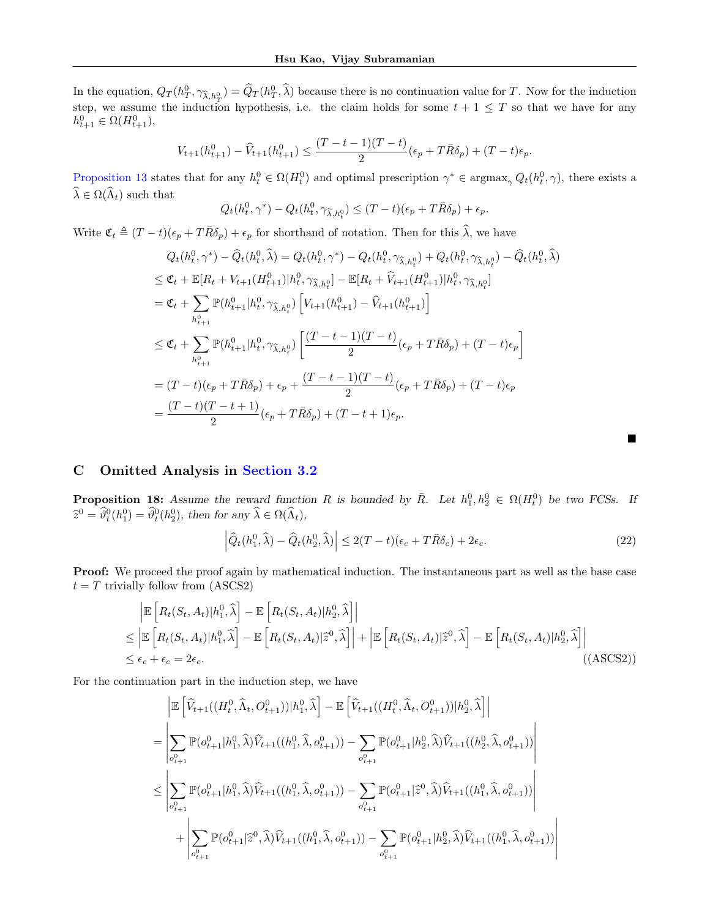In the equation,  $Q_T(h_T^0, \gamma_{\hat{\lambda},h_T^0}) = \hat{Q}_T(h_T^0, \hat{\lambda})$  because there is no continuation value for T. Now for the induction step, we assume the induction hypothesis, i.e. the claim holds for some  $t + 1 \leq T$  so that we have for any  $h_{t+1}^0 \in \Omega(H_{t+1}^0),$ 

$$
V_{t+1}(h_{t+1}^0) - \widehat{V}_{t+1}(h_{t+1}^0) \le \frac{(T-t-1)(T-t)}{2}(\epsilon_p + T\bar{R}\delta_p) + (T-t)\epsilon_p.
$$

[Proposition 13](#page-7-3) states that for any  $h_t^0 \in \Omega(H_t^0)$  and optimal prescription  $\gamma^* \in \text{argmax}_{\gamma} Q_t(h_t^0, \gamma)$ , there exists a  $\widehat{\lambda} \in \Omega(\widehat{\Lambda}_t)$  such that

$$
Q_t(h_t^0, \gamma^*) - Q_t(h_t^0, \gamma_{\widehat{\lambda}, h_t^0}) \le (T - t)(\epsilon_p + T\overline{R}\delta_p) + \epsilon_p.
$$

Write  $\mathfrak{C}_t \triangleq (T-t)(\epsilon_p + T\overline{R}\delta_p) + \epsilon_p$  for shorthand of notation. Then for this  $\widehat{\lambda}$ , we have

$$
Q_{t}(h_{t}^{0},\gamma^{*}) - \widehat{Q}_{t}(h_{t}^{0},\widehat{\lambda}) = Q_{t}(h_{t}^{0},\gamma^{*}) - Q_{t}(h_{t}^{0},\gamma_{\widehat{\lambda},h_{t}^{0}}) + Q_{t}(h_{t}^{0},\gamma_{\widehat{\lambda},h_{t}^{0}}) - \widehat{Q}_{t}(h_{t}^{0},\widehat{\lambda})
$$
  
\n
$$
\leq \mathfrak{C}_{t} + \mathbb{E}[R_{t} + V_{t+1}(H_{t+1}^{0})|h_{t}^{0},\gamma_{\widehat{\lambda},h_{t}^{0}}] - \mathbb{E}[R_{t} + \widehat{V}_{t+1}(H_{t+1}^{0})|h_{t}^{0},\gamma_{\widehat{\lambda},h_{t}^{0}}]
$$
  
\n
$$
= \mathfrak{C}_{t} + \sum_{h_{t+1}^{0}} \mathbb{P}(h_{t+1}^{0}|h_{t}^{0},\gamma_{\widehat{\lambda},h_{t}^{0}}) \left[ V_{t+1}(h_{t+1}^{0}) - \widehat{V}_{t+1}(h_{t+1}^{0}) \right]
$$
  
\n
$$
\leq \mathfrak{C}_{t} + \sum_{h_{t+1}^{0}} \mathbb{P}(h_{t+1}^{0}|h_{t}^{0},\gamma_{\widehat{\lambda},h_{t}^{0}}) \left[ \frac{(T-t-1)(T-t)}{2} (\epsilon_{p} + T\overline{R}\delta_{p}) + (T-t)\epsilon_{p} \right]
$$
  
\n
$$
= (T-t)(\epsilon_{p} + T\overline{R}\delta_{p}) + \epsilon_{p} + \frac{(T-t-1)(T-t)}{2} (\epsilon_{p} + T\overline{R}\delta_{p}) + (T-t)\epsilon_{p}
$$
  
\n
$$
= \frac{(T-t)(T-t+1)}{2} (\epsilon_{p} + T\overline{R}\delta_{p}) + (T-t+1)\epsilon_{p}.
$$

# <span id="page-16-0"></span>C Omitted Analysis in [Section 3.2](#page-5-5)

**Proposition 18:** Assume the reward function R is bounded by  $\overline{R}$ . Let  $h_1^0, h_2^0 \in \Omega(H_t^0)$  be two FCSs. If  $\widehat{z}^0 = \widehat{\vartheta}_t^0(h_1^0) = \widehat{\vartheta}_t^0(h_2^0)$ , then for any  $\widehat{\lambda} \in \Omega(\widehat{\Lambda}_t)$ ,

$$
\left| \widehat{Q}_t(h_1^0, \widehat{\lambda}) - \widehat{Q}_t(h_2^0, \widehat{\lambda}) \right| \le 2(T - t)(\epsilon_c + T\overline{R}\delta_c) + 2\epsilon_c.
$$
 (22)

Proof: We proceed the proof again by mathematical induction. The instantaneous part as well as the base case  $t = T$  trivially follow from (ASCS2)

$$
\begin{split}\n& \left| \mathbb{E} \left[ R_t(S_t, A_t) | h_1^0, \widehat{\lambda} \right] - \mathbb{E} \left[ R_t(S_t, A_t) | h_2^0, \widehat{\lambda} \right] \right| \\
& \leq \left| \mathbb{E} \left[ R_t(S_t, A_t) | h_1^0, \widehat{\lambda} \right] - \mathbb{E} \left[ R_t(S_t, A_t) | \widehat{z}^0, \widehat{\lambda} \right] \right| + \left| \mathbb{E} \left[ R_t(S_t, A_t) | \widehat{z}^0, \widehat{\lambda} \right] - \mathbb{E} \left[ R_t(S_t, A_t) | h_2^0, \widehat{\lambda} \right] \right| \\
& \leq \epsilon_c + \epsilon_c = 2\epsilon_c.\n\end{split} \tag{ASCS2}
$$

For the continuation part in the induction step, we have

$$
\begin{split} &\left| \mathbb{E} \left[ \widehat{V}_{t+1}((H_t^0,\widehat{\Lambda}_t,O_{t+1}^0)) | h_1^0,\widehat{\lambda} \right] - \mathbb{E} \left[ \widehat{V}_{t+1}((H_t^0,\widehat{\Lambda}_t,O_{t+1}^0)) | h_2^0,\widehat{\lambda} \right] \right| \\ & = \left| \sum_{o_{t+1}^0} \mathbb{P}(o_{t+1}^0 | h_1^0,\widehat{\lambda}) \widehat{V}_{t+1}((h_1^0,\widehat{\lambda},o_{t+1}^0)) - \sum_{o_{t+1}^0} \mathbb{P}(o_{t+1}^0 | h_2^0,\widehat{\lambda}) \widehat{V}_{t+1}((h_2^0,\widehat{\lambda},o_{t+1}^0)) \right| \\ & \leq \left| \sum_{o_{t+1}^0} \mathbb{P}(o_{t+1}^0 | h_1^0,\widehat{\lambda}) \widehat{V}_{t+1}((h_1^0,\widehat{\lambda},o_{t+1}^0)) - \sum_{o_{t+1}^0} \mathbb{P}(o_{t+1}^0 | \widehat{z}^0,\widehat{\lambda}) \widehat{V}_{t+1}((h_1^0,\widehat{\lambda},o_{t+1}^0)) \right| \\ & + \left| \sum_{o_{t+1}^0} \mathbb{P}(o_{t+1}^0 | \widehat{z}^0,\widehat{\lambda}) \widehat{V}_{t+1}((h_1^0,\widehat{\lambda},o_{t+1}^0)) - \sum_{o_{t+1}^0} \mathbb{P}(o_{t+1}^0 | h_2^0,\widehat{\lambda}) \widehat{V}_{t+1}((h_1^0,\widehat{\lambda},o_{t+1}^0)) \right| \right| \end{split}
$$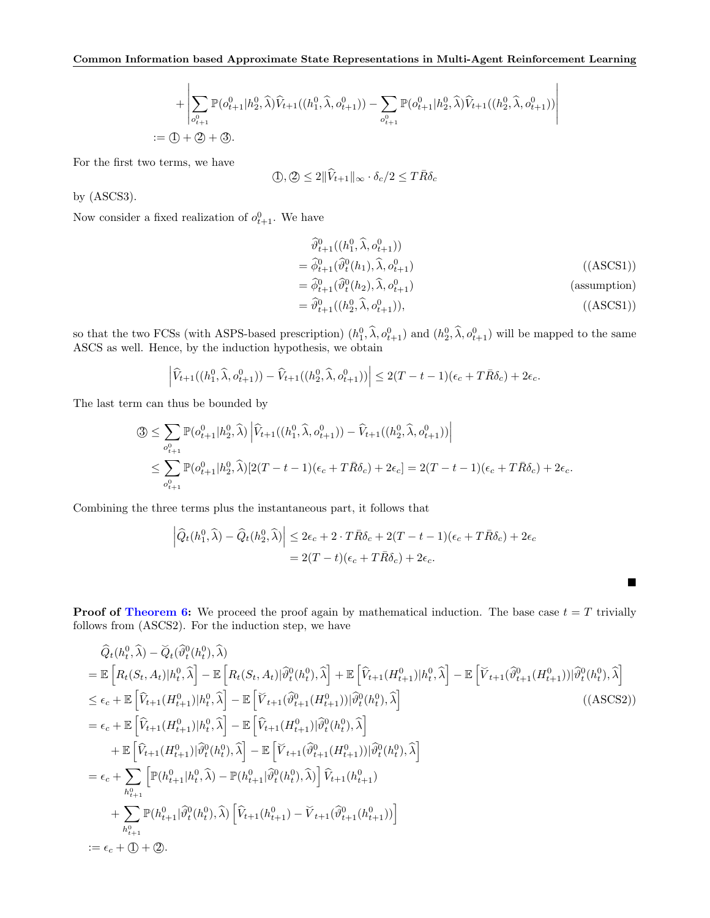$$
+\left|\sum_{o_{t+1}^0} \mathbb{P}(o_{t+1}^0|h_2^0,\widehat{\lambda})\widehat{V}_{t+1}((h_1^0,\widehat{\lambda},o_{t+1}^0)) - \sum_{o_{t+1}^0} \mathbb{P}(o_{t+1}^0|h_2^0,\widehat{\lambda})\widehat{V}_{t+1}((h_2^0,\widehat{\lambda},o_{t+1}^0))\right|
$$
  
 :=  $(1 + 2) + 3$ .

For the first two terms, we have

$$
\langle \mathbf{D}, \mathbf{D} \rangle \le 2 \|\widehat{V}_{t+1}\|_{\infty} \cdot \delta_c/2 \le T \bar{R} \delta_c
$$

by (ASCS3).

Now consider a fixed realization of  $o_{t+1}^0$ . We have

$$
\begin{aligned}\n\widehat{\vartheta}_{t+1}^{0}(h_{1}^{0}, \widehat{\lambda}, o_{t+1}^{0})) \\
&= \widehat{\varphi}_{t+1}^{0}(\widehat{\vartheta}_{t}^{0}(h_{1}), \widehat{\lambda}, o_{t+1}^{0}) \\
&= \widehat{\varphi}_{t+1}^{0}(\widehat{\vartheta}_{t}^{0}(h_{2}), \widehat{\lambda}, o_{t+1}^{0}) \\
&= \widehat{\vartheta}_{t+1}^{0}(h_{2}^{0}, \widehat{\lambda}, o_{t+1}^{0})\n\end{aligned} \tag{(ASCS1)}
$$
\n
$$
\widehat{\vartheta}_{t+1}^{0}(h_{2}^{0}, \widehat{\lambda}, o_{t+1}^{0})\n\tag{(ASCS1)}
$$

 $\blacksquare$ 

so that the two FCSs (with ASPS-based prescription)  $(h_1^0, \hat{\lambda}, o_{t+1}^0)$  and  $(h_2^0, \hat{\lambda}, o_{t+1}^0)$  will be mapped to the same ASCS as well. Hence, by the induction hypothesis, we obtain

$$
\left|\widehat{V}_{t+1}((h_1^0,\widehat{\lambda},o_{t+1}^0))-\widehat{V}_{t+1}((h_2^0,\widehat{\lambda},o_{t+1}^0))\right|\leq 2(T-t-1)(\epsilon_c+T\bar{R}\delta_c)+2\epsilon_c.
$$

The last term can thus be bounded by

$$
\begin{split} \textcircled{3}\leq & \sum_{o_{t+1}^0}\mathbb{P}(o_{t+1}^0|h_2^0,\widehat{\lambda})\left|\widehat{V}_{t+1}((h_1^0,\widehat{\lambda},o_{t+1}^0))-\widehat{V}_{t+1}((h_2^0,\widehat{\lambda},o_{t+1}^0))\right|\\ & \leq & \sum_{o_{t+1}^0}\mathbb{P}(o_{t+1}^0|h_2^0,\widehat{\lambda})[2(T-t-1)(\epsilon_c+T\bar{R}\delta_c)+2\epsilon_c]=2(T-t-1)(\epsilon_c+T\bar{R}\delta_c)+2\epsilon_c. \end{split}
$$

Combining the three terms plus the instantaneous part, it follows that

$$
\left| \widehat{Q}_t(h_1^0, \widehat{\lambda}) - \widehat{Q}_t(h_2^0, \widehat{\lambda}) \right| \leq 2\epsilon_c + 2 \cdot T \bar{R} \delta_c + 2(T - t - 1)(\epsilon_c + T \bar{R} \delta_c) + 2\epsilon_c
$$
  
= 2(T - t)(\epsilon\_c + T \bar{R} \delta\_c) + 2\epsilon\_c.

**Proof of [Theorem 6:](#page-5-1)** We proceed the proof again by mathematical induction. The base case  $t = T$  trivially follows from (ASCS2). For the induction step, we have

$$
\begin{split}\n&\hat{Q}_{t}(h_{t}^{0},\hat{\lambda}) - \breve{Q}_{t}(\widehat{\vartheta}_{t}^{0}(h_{t}^{0}),\hat{\lambda}) \\
&= \mathbb{E}\left[R_{t}(S_{t},A_{t})|h_{t}^{0},\hat{\lambda}\right] - \mathbb{E}\left[R_{t}(S_{t},A_{t})|\widehat{\vartheta}_{t}^{0}(h_{t}^{0}),\hat{\lambda}\right] + \mathbb{E}\left[\widehat{V}_{t+1}(H_{t+1}^{0})|h_{t}^{0},\hat{\lambda}\right] - \mathbb{E}\left[\widecheck{V}_{t+1}(\widehat{\vartheta}_{t+1}^{0}(H_{t+1}^{0}))|\widehat{\vartheta}_{t}^{0}(h_{t}^{0}),\hat{\lambda}\right] \\
&\leq \epsilon_{c} + \mathbb{E}\left[\widehat{V}_{t+1}(H_{t+1}^{0})|h_{t}^{0},\hat{\lambda}\right] - \mathbb{E}\left[\widecheck{V}_{t+1}(\widehat{\vartheta}_{t+1}^{0}(H_{t+1}^{0}))|\widehat{\vartheta}_{t}^{0}(h_{t}^{0}),\hat{\lambda}\right] \\
&= \epsilon_{c} + \mathbb{E}\left[\widehat{V}_{t+1}(H_{t+1}^{0})|h_{t}^{0},\hat{\lambda}\right] - \mathbb{E}\left[\widehat{V}_{t+1}(H_{t+1}^{0})|\widehat{\vartheta}_{t}^{0}(h_{t}^{0}),\hat{\lambda}\right] \\
&+ \mathbb{E}\left[\widehat{V}_{t+1}(H_{t+1}^{0})|\widehat{\vartheta}_{t}^{0}(h_{t}^{0}),\hat{\lambda}\right] - \mathbb{E}\left[\widecheck{V}_{t+1}(\widehat{\vartheta}_{t+1}^{0}(H_{t+1}^{0}))|\widehat{\vartheta}_{t}^{0}(h_{t}^{0}),\hat{\lambda}\right] \\
&= \epsilon_{c} + \sum_{h_{t+1}^{0}} \left[\mathbb{P}(h_{t+1}^{0}|h_{t}^{0},\hat{\lambda}) - \mathbb{P}(h_{t+1}^{0}|\widehat{\vartheta}_{t}^{0}(h_{t}^{0}),\hat{\lambda})\right]\widehat{V}_{t+1}(h_{t+1}^{0}) \\
&\quad + \sum_{h_{t+1}^{0}} \mathbb{P}(h_{t+1}^{0}|\widehat{\vartheta}_{t}^{0}(h_{t}^{0
$$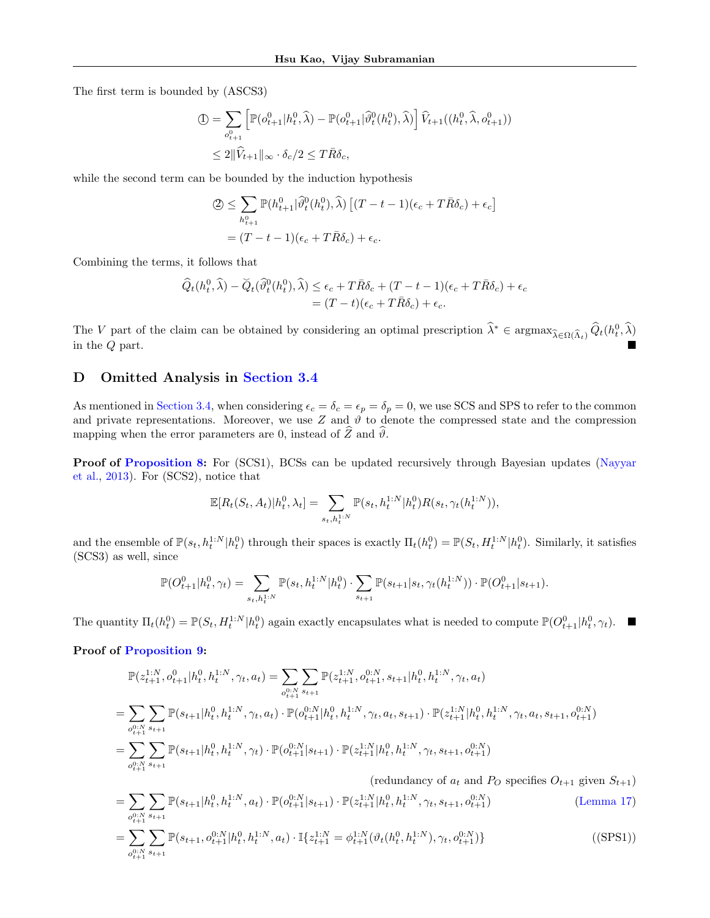The first term is bounded by (ASCS3)

$$
\begin{split} \mathbb{D} &= \sum_{o_{t+1}^0} \left[ \mathbb{P}(o_{t+1}^0 | h_t^0, \widehat{\lambda}) - \mathbb{P}(o_{t+1}^0 | \widehat{\vartheta}_t^0(h_t^0), \widehat{\lambda}) \right] \widehat{V}_{t+1}((h_t^0, \widehat{\lambda}, o_{t+1}^0)) \\ &\leq 2 \|\widehat{V}_{t+1}\|_{\infty} \cdot \delta_c / 2 \leq T \bar{R} \delta_c, \end{split}
$$

while the second term can be bounded by the induction hypothesis

$$
\begin{split} \mathcal{Q} &\leq \sum_{h_{t+1}^0} \mathbb{P}(h_{t+1}^0 | \widehat{\vartheta}_t^0(h_t^0), \widehat{\lambda}) \left[ (T - t - 1)(\epsilon_c + T\bar{R}\delta_c) + \epsilon_c \right] \\ &= (T - t - 1)(\epsilon_c + T\bar{R}\delta_c) + \epsilon_c. \end{split}
$$

Combining the terms, it follows that

$$
\begin{aligned} \widehat{Q}_t(h_t^0, \widehat{\lambda}) - \widecheck{Q}_t(\widehat{\vartheta}_t^0(h_t^0), \widehat{\lambda}) &\leq \epsilon_c + T\bar{R}\delta_c + (T - t - 1)(\epsilon_c + T\bar{R}\delta_c) + \epsilon_c \\ &= (T - t)(\epsilon_c + T\bar{R}\delta_c) + \epsilon_c. \end{aligned}
$$

The V part of the claim can be obtained by considering an optimal prescription  $\hat{\lambda}^* \in \operatorname{argmax}_{\hat{\lambda} \in \Omega(\hat{\Lambda}_t)} \hat{Q}_t(h_t^0, \hat{\lambda})$ in the  $Q$  part.

### <span id="page-18-0"></span>D Omitted Analysis in [Section 3.4](#page-5-6)

As mentioned in [Section 3.4,](#page-5-6) when considering  $\epsilon_c = \delta_c = \epsilon_p = \delta_p = 0$ , we use SCS and SPS to refer to the common and private representations. Moreover, we use Z and  $\vartheta$  to denote the compressed state and the compression mapping when the error parameters are 0, instead of  $\hat{Z}$  and  $\hat{\theta}$ .

Proof of [Proposition 8:](#page-5-4) For (SCS1), BCSs can be updated recursively through Bayesian updates [\(Nayyar](#page-9-1) [et al.,](#page-9-1) [2013\)](#page-9-1). For (SCS2), notice that

$$
\mathbb{E}[R_t(S_t,A_t)|h_t^0,\lambda_t] = \sum_{s_t,h_t^{1:N}} \mathbb{P}(s_t,h_t^{1:N}|h_t^0)R(s_t,\gamma_t(h_t^{1:N})),
$$

and the ensemble of  $\mathbb{P}(s_t, h_t^{1:N} | h_t^0)$  through their spaces is exactly  $\Pi_t(h_t^0) = \mathbb{P}(S_t, H_t^{1:N} | h_t^0)$ . Similarly, it satisfies (SCS3) as well, since

$$
\mathbb{P}(O_{t+1}^0|h_t^0,\gamma_t)=\sum_{s_t,h_t^{1:N}}\mathbb{P}(s_t,h_t^{1:N}|h_t^0)\cdot\sum_{s_{t+1}}\mathbb{P}(s_{t+1}|s_t,\gamma_t(h_t^{1:N}))\cdot\mathbb{P}(O_{t+1}^0|s_{t+1}).
$$

The quantity  $\Pi_t(h_t^0) = \mathbb{P}(S_t, H_t^{1:N} | h_t^0)$  again exactly encapsulates what is needed to compute  $\mathbb{P}(O_{t+1}^0 | h_t^0, \gamma_t)$ .

### Proof of [Proposition 9:](#page-6-4)

$$
\begin{split} &\mathbb{P}(z_{t+1}^{1:N},o_{t+1}^{0}|h_{t}^{0},h_{t}^{1:N},\gamma_{t},a_{t})=\sum_{o_{t+1}^{0:N}}\sum_{s_{t+1}}\mathbb{P}(z_{t+1}^{1:N},o_{t+1}^{0:N},s_{t+1}|h_{t}^{0},h_{t}^{1:N},\gamma_{t},a_{t})\\ &=\sum_{o_{t+1}^{0:N}}\sum_{s_{t+1}}\mathbb{P}(s_{t+1}|h_{t}^{0},h_{t}^{1:N},\gamma_{t},a_{t})\cdot\mathbb{P}(o_{t+1}^{0:N}|h_{t}^{0},h_{t}^{1:N},\gamma_{t},a_{t},s_{t+1})\cdot\mathbb{P}(z_{t+1}^{1:N}|h_{t}^{0},h_{t}^{1:N},\gamma_{t},a_{t},s_{t+1},o_{t+1}^{0:N})\\ &=\sum_{o_{t+1}^{0:N}}\sum_{s_{t+1}}\mathbb{P}(s_{t+1}|h_{t}^{0},h_{t}^{1:N},\gamma_{t})\cdot\mathbb{P}(o_{t+1}^{0:N}|s_{t+1})\cdot\mathbb{P}(z_{t+1}^{1:N}|h_{t}^{0},h_{t}^{1:N},\gamma_{t},s_{t+1},o_{t+1}^{0:N})\\ \end{split}
$$

(redundancy of  $a_t$  and  $P_O$  specifies  $O_{t+1}$  given  $S_{t+1}$ )

$$
= \sum_{o_{t+1}^{0:N}} \sum_{s_{t+1}} \mathbb{P}(s_{t+1}|h_t^0, h_t^{1:N}, a_t) \cdot \mathbb{P}(o_{t+1}^{0:N}|s_{t+1}) \cdot \mathbb{P}(z_{t+1}^{1:N}|h_t^0, h_t^{1:N}, \gamma_t, s_{t+1}, o_{t+1}^{0:N})
$$
\n
$$
= \sum_{o_{t+1}^{0:N}} \sum_{s_{t+1}} \mathbb{P}(s_{t+1}, o_{t+1}^{0:N}|h_t^0, h_t^{1:N}, a_t) \cdot \mathbb{I}\{z_{t+1}^{1:N} = \phi_{t+1}^{1:N}(\vartheta_t(h_t^0, h_t^{1:N}), \gamma_t, o_{t+1}^{0:N})\}
$$
\n
$$
(SPS1)
$$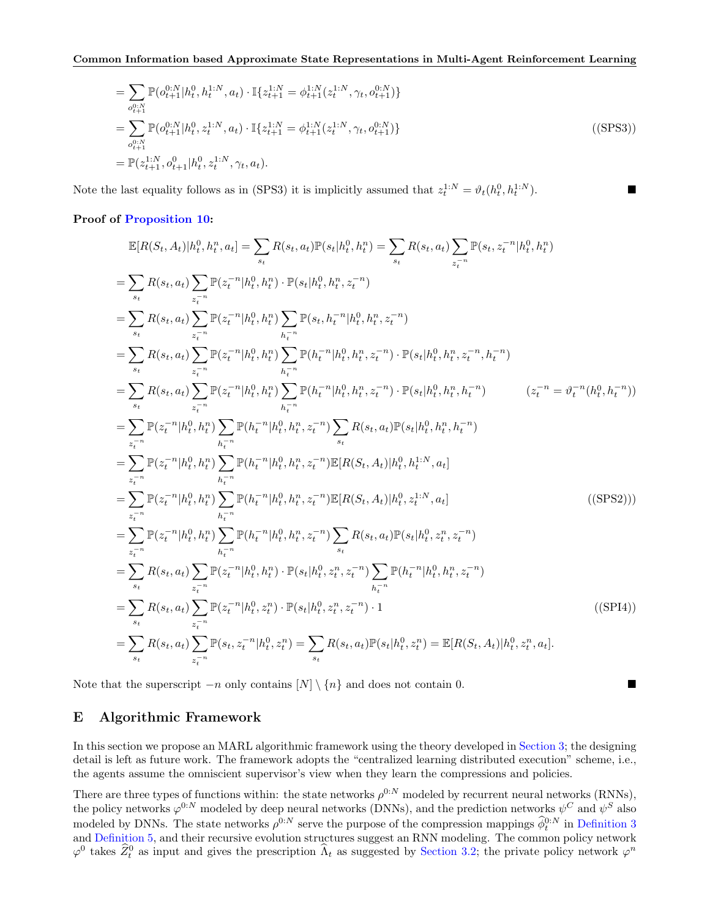$$
= \sum_{o_{t+1}^{0:N}} \mathbb{P}(o_{t+1}^{0:N}|h_t^0, h_t^{1:N}, a_t) \cdot \mathbb{I}\{z_{t+1}^{1:N} = \phi_{t+1}^{1:N}(z_t^{1:N}, \gamma_t, o_{t+1}^{0:N})\}
$$
  
\n
$$
= \sum_{o_{t+1}^{0:N}} \mathbb{P}(o_{t+1}^{0:N}|h_t^0, z_t^{1:N}, a_t) \cdot \mathbb{I}\{z_{t+1}^{1:N} = \phi_{t+1}^{1:N}(z_t^{1:N}, \gamma_t, o_{t+1}^{0:N})\}
$$
  
\n
$$
= \mathbb{P}(z_{t+1}^{1:N}, o_{t+1}^0|h_t^0, z_t^{1:N}, \gamma_t, a_t).
$$
\n(SPS3)

Note the last equality follows as in (SPS3) it is implicitly assumed that  $z_t^{1:N} = \vartheta_t(h_t^0, h_t^{1:N})$  $\Box$ 

#### Proof of [Proposition 10:](#page-6-5)

$$
\mathbb{E}[R(S_t, A_t)|h_t^0, h_t^n, a_t] = \sum_{s_t} R(s_t, a_t) \mathbb{P}(s_t|h_t^0, h_t^n) = \sum_{s_t} R(s_t, a_t) \sum_{z_t^{-n}} \mathbb{P}(s_t, z_t^{-n} | h_t^0, h_t^n)
$$
\n
$$
= \sum_{s_t} R(s_t, a_t) \sum_{z_t^{-n}} \mathbb{P}(z_t^{-n} | h_t^0, h_t^n) \cdot \mathbb{P}(s_t | h_t^0, h_t^n, z_t^{-n})
$$
\n
$$
= \sum_{s_t} R(s_t, a_t) \sum_{z_t^{-n}} \mathbb{P}(z_t^{-n} | h_t^0, h_t^n) \sum_{h_t^{-n}} \mathbb{P}(s_t, h_t^{-n} | h_t^0, h_t^n, z_t^{-n})
$$
\n
$$
= \sum_{s_t} R(s_t, a_t) \sum_{z_t^{-n}} \mathbb{P}(z_t^{-n} | h_t^0, h_t^n) \sum_{h_t^{-n}} \mathbb{P}(h_t^{-n} | h_t^0, h_t^n, z_t^{-n}) \cdot \mathbb{P}(s_t | h_t^0, h_t^n, z_t^{-n}, h_t^{-n})
$$
\n
$$
= \sum_{s_t} R(s_t, a_t) \sum_{z_t^{-n}} \mathbb{P}(z_t^{-n} | h_t^0, h_t^n) \sum_{h_t^{-n}} \mathbb{P}(h_t^{-n} | h_t^0, h_t^n, z_t^{-n}) \cdot \mathbb{P}(s_t | h_t^0, h_t^n, h_t^{-n})
$$
\n
$$
= \sum_{z_t^{-n}} \mathbb{P}(z_t^{-n} | h_t^0, h_t^n) \sum_{h_t^{-n}} \mathbb{P}(h_t^{-n} | h_t^0, h_t^n, z_t^{-n}) \sum_{s_t} R(s_t, a_t) \mathbb{P}(s_t | h_t^0, h_t^n, h_t^{-n})
$$
\n
$$
= \sum_{z_t^{-n}} \mathbb{P}(z_t^{-n} | h_t^0, h_t^n) \sum_{h_t^{-n}} \mathbb{P}(h_t^{-n} | h_t^0, h_t^n, z_t^{-n}) \sum_{s_t} R(s_t, a_t) \mathbb{P}(s_t | h_t^0, h_t^n, h_t^{-n})
$$
\n
$$
= \sum_{z_t^{-n}} \mathbb{P}(z_t^{-n} | h_t^0, h_t^n) \sum
$$

Note that the superscript  $-n$  only contains  $[N] \setminus \{n\}$  and does not contain 0.

### <span id="page-19-0"></span>E Algorithmic Framework

In this section we propose an MARL algorithmic framework using the theory developed in [Section 3;](#page-4-3) the designing detail is left as future work. The framework adopts the "centralized learning distributed execution" scheme, i.e., the agents assume the omniscient supervisor's view when they learn the compressions and policies.

There are three types of functions within: the state networks  $\rho^{0:N}$  modeled by recurrent neural networks (RNNs), the policy networks  $\varphi^{0:N}$  modeled by deep neural networks (DNNs), and the prediction networks  $\psi^C$  and  $\psi^S$  also modeled by DNNs. The state networks  $\rho^{0:N}$  serve the purpose of the compression mappings  $\phi_t^{0:N}$  in [Definition 3](#page-4-0) and [Definition 5,](#page-5-0) and their recursive evolution structures suggest an RNN modeling. The common policy network  $\varphi^0$  takes  $\widehat{Z}_t^0$  as input and gives the prescription  $\widehat{\Lambda}_t$  as suggested by [Section 3.2;](#page-5-5) the private policy network  $\varphi^n$